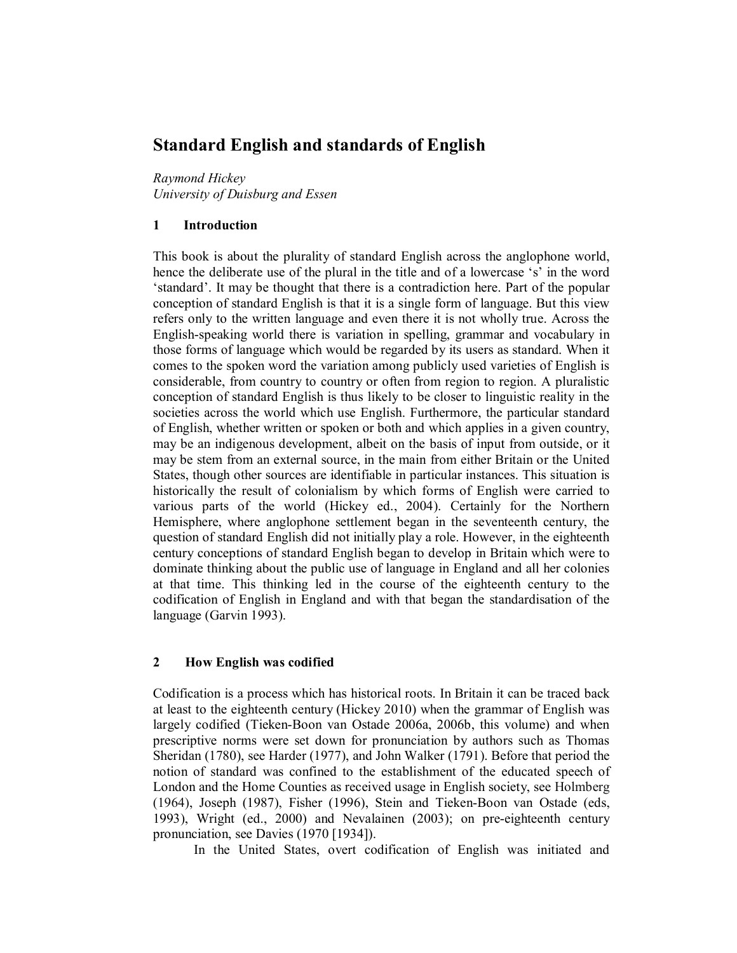# **Standard English and standards of English**

*Raymond Hickey University of Duisburg and Essen*

## **1 Introduction**

This book is about the plurality of standard English across the anglophone world, hence the deliberate use of the plural in the title and of a lowercase 's' in the word 'standard'. It may be thought that there is a contradiction here. Part of the popular conception of standard English is that it is a single form of language. But this view refers only to the written language and even there it is not wholly true. Across the English-speaking world there is variation in spelling, grammar and vocabulary in those forms of language which would be regarded by its users as standard. When it comes to the spoken word the variation among publicly used varieties of English is considerable, from country to country or often from region to region. A pluralistic conception of standard English is thus likely to be closer to linguistic reality in the societies across the world which use English. Furthermore, the particular standard of English, whether written or spoken or both and which applies in a given country, may be an indigenous development, albeit on the basis of input from outside, or it may be stem from an external source, in the main from either Britain or the United States, though other sources are identifiable in particular instances. This situation is historically the result of colonialism by which forms of English were carried to various parts of the world (Hickey ed., 2004). Certainly for the Northern Hemisphere, where anglophone settlement began in the seventeenth century, the question of standard English did not initially play a role. However, in the eighteenth century conceptions of standard English began to develop in Britain which were to dominate thinking about the public use of language in England and all her colonies at that time. This thinking led in the course of the eighteenth century to the codification of English in England and with that began the standardisation of the language (Garvin 1993).

## **2 How English was codified**

Codification is a process which has historical roots. In Britain it can be traced back at least to the eighteenth century (Hickey 2010) when the grammar of English was largely codified (Tieken-Boon van Ostade 2006a, 2006b, this volume) and when prescriptive norms were set down for pronunciation by authors such as Thomas Sheridan (1780), see Harder (1977), and John Walker (1791). Before that period the notion of standard was confined to the establishment of the educated speech of London and the Home Counties as received usage in English society, see Holmberg (1964), Joseph (1987), Fisher (1996), Stein and Tieken-Boon van Ostade (eds, 1993), Wright (ed., 2000) and Nevalainen (2003); on pre-eighteenth century pronunciation, see Davies (1970 [1934]).

In the United States, overt codification of English was initiated and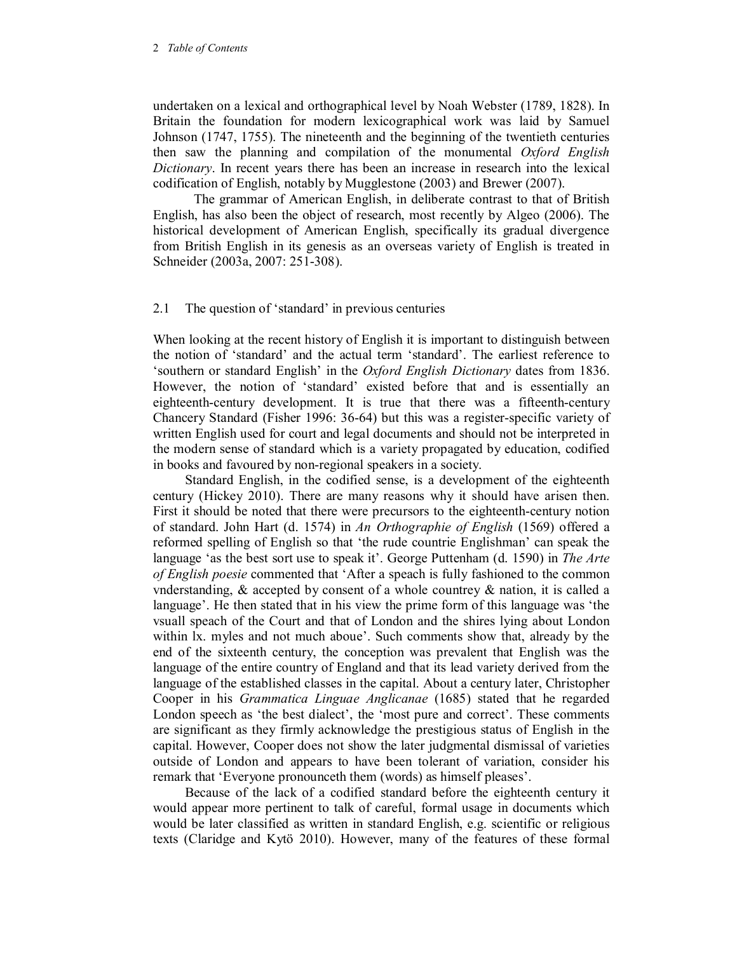#### 2 *Table of Contents*

undertaken on a lexical and orthographical level by Noah Webster (1789, 1828). In Britain the foundation for modern lexicographical work was laid by Samuel Johnson (1747, 1755). The nineteenth and the beginning of the twentieth centuries then saw the planning and compilation of the monumental *Oxford English Dictionary*. In recent years there has been an increase in research into the lexical codification of English, notably by Mugglestone (2003) and Brewer (2007).

The grammar of American English, in deliberate contrast to that of British English, has also been the object of research, most recently by Algeo (2006). The historical development of American English, specifically its gradual divergence from British English in its genesis as an overseas variety of English is treated in Schneider (2003a, 2007: 251-308).

### 2.1 The question of 'standard' in previous centuries

When looking at the recent history of English it is important to distinguish between the notion of 'standard' and the actual term 'standard'. The earliest reference to 'southern or standard English' in the *Oxford English Dictionary* dates from 1836. However, the notion of 'standard' existed before that and is essentially an eighteenth-century development. It is true that there was a fifteenth-century Chancery Standard (Fisher 1996: 36-64) but this was a register-specific variety of written English used for court and legal documents and should not be interpreted in the modern sense of standard which is a variety propagated by education, codified in books and favoured by non-regional speakers in a society.

Standard English, in the codified sense, is a development of the eighteenth century (Hickey 2010). There are many reasons why it should have arisen then. First it should be noted that there were precursors to the eighteenth-century notion of standard. John Hart (d. 1574) in *An Orthographie of English* (1569) offered a reformed spelling of English so that 'the rude countrie Englishman' can speak the language 'as the best sort use to speak it'. George Puttenham (d. 1590) in *The Arte of English poesie* commented that 'After a speach is fully fashioned to the common vnderstanding,  $\&$  accepted by consent of a whole countrey  $\&$  nation, it is called a language'. He then stated that in his view the prime form of this language was 'the vsuall speach of the Court and that of London and the shires lying about London within lx. myles and not much aboue'. Such comments show that, already by the end of the sixteenth century, the conception was prevalent that English was the language of the entire country of England and that its lead variety derived from the language of the established classes in the capital. About a century later, Christopher Cooper in his *Grammatica Linguae Anglicanae* (1685) stated that he regarded London speech as 'the best dialect', the 'most pure and correct'. These comments are significant as they firmly acknowledge the prestigious status of English in the capital. However, Cooper does not show the later judgmental dismissal of varieties outside of London and appears to have been tolerant of variation, consider his remark that 'Everyone pronounceth them (words) as himself pleases'.

Because of the lack of a codified standard before the eighteenth century it would appear more pertinent to talk of careful, formal usage in documents which would be later classified as written in standard English, e.g. scientific or religious texts (Claridge and Kytö 2010). However, many of the features of these formal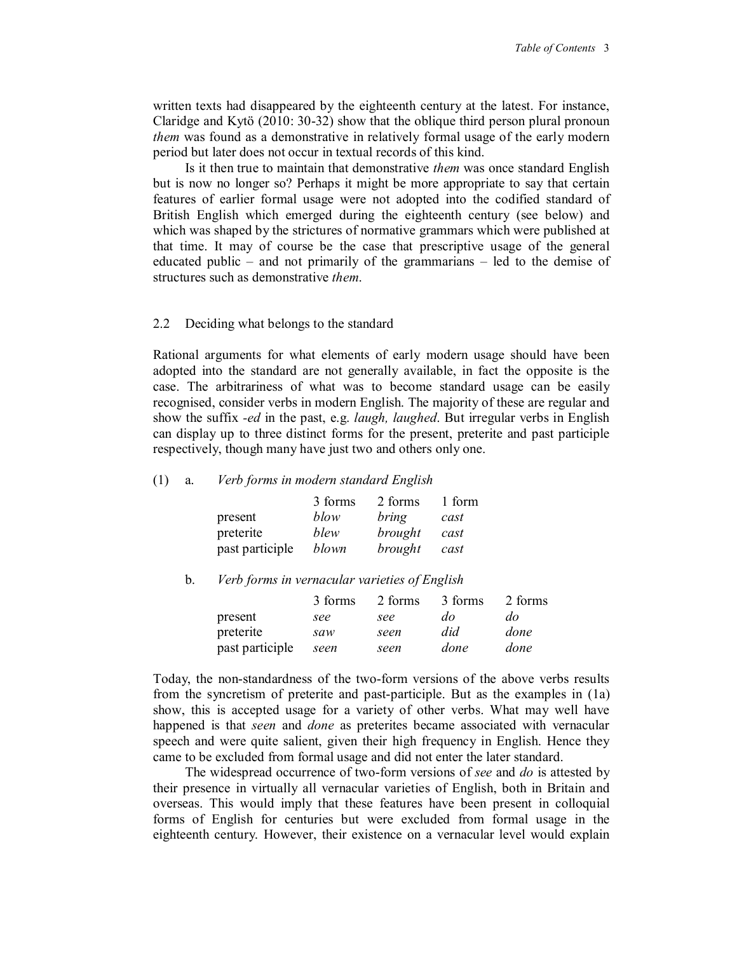written texts had disappeared by the eighteenth century at the latest. For instance, Claridge and Kytö (2010: 30-32) show that the oblique third person plural pronoun *them* was found as a demonstrative in relatively formal usage of the early modern period but later does not occur in textual records of this kind.

Is it then true to maintain that demonstrative *them* was once standard English but is now no longer so? Perhaps it might be more appropriate to say that certain features of earlier formal usage were not adopted into the codified standard of British English which emerged during the eighteenth century (see below) and which was shaped by the strictures of normative grammars which were published at that time. It may of course be the case that prescriptive usage of the general educated public – and not primarily of the grammarians – led to the demise of structures such as demonstrative *them*.

### 2.2 Deciding what belongs to the standard

Rational arguments for what elements of early modern usage should have been adopted into the standard are not generally available, in fact the opposite is the case. The arbitrariness of what was to become standard usage can be easily recognised, consider verbs in modern English. The majority of these are regular and show the suffix *-ed* in the past, e.g. *laugh, laughed*. But irregular verbs in English can display up to three distinct forms for the present, preterite and past participle respectively, though many have just two and others only one.

#### (1) a. *Verb forms in modern standard English*

|                 | 3 forms | 2 forms | 1 form |
|-----------------|---------|---------|--------|
| present         | blow    | bring   | cast   |
| preterite       | blew    | brought | cast   |
| past participle | blown   | brought | cast   |

#### b. *Verb forms in vernacular varieties of English*

|                 | 3 forms | 2 forms | 3 forms | 2 forms |
|-----------------|---------|---------|---------|---------|
| present         | see     | see     | do      | do      |
| preterite       | saw     | seen    | did     | done    |
| past participle | seen    | seen    | done    | done    |

Today, the non-standardness of the two-form versions of the above verbs results from the syncretism of preterite and past-participle. But as the examples in (1a) show, this is accepted usage for a variety of other verbs. What may well have happened is that *seen* and *done* as preterites became associated with vernacular speech and were quite salient, given their high frequency in English. Hence they came to be excluded from formal usage and did not enter the later standard.

The widespread occurrence of two-form versions of *see* and *do* is attested by their presence in virtually all vernacular varieties of English, both in Britain and overseas. This would imply that these features have been present in colloquial forms of English for centuries but were excluded from formal usage in the eighteenth century. However, their existence on a vernacular level would explain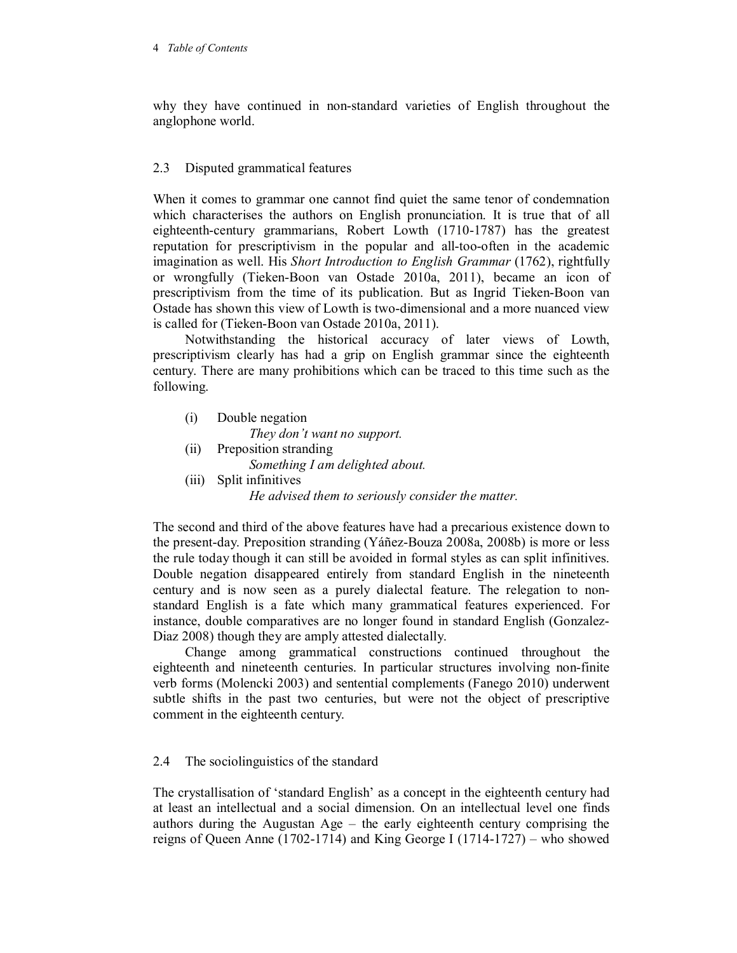why they have continued in non-standard varieties of English throughout the anglophone world.

## 2.3 Disputed grammatical features

When it comes to grammar one cannot find quiet the same tenor of condemnation which characterises the authors on English pronunciation. It is true that of all eighteenth-century grammarians, Robert Lowth (1710-1787) has the greatest reputation for prescriptivism in the popular and all-too-often in the academic imagination as well. His *Short Introduction to English Grammar* (1762), rightfully or wrongfully (Tieken-Boon van Ostade 2010a, 2011), became an icon of prescriptivism from the time of its publication. But as Ingrid Tieken-Boon van Ostade has shown this view of Lowth is two-dimensional and a more nuanced view is called for (Tieken-Boon van Ostade 2010a, 2011).

Notwithstanding the historical accuracy of later views of Lowth, prescriptivism clearly has had a grip on English grammar since the eighteenth century. There are many prohibitions which can be traced to this time such as the following.

(i) Double negation  *They don't want no support.* (ii) Preposition stranding

 *Something I am delighted about.*

(iii) Split infinitives  *He advised them to seriously consider the matter.*

The second and third of the above features have had a precarious existence down to the present-day. Preposition stranding (Yáñez-Bouza 2008a, 2008b) is more or less the rule today though it can still be avoided in formal styles as can split infinitives. Double negation disappeared entirely from standard English in the nineteenth century and is now seen as a purely dialectal feature. The relegation to nonstandard English is a fate which many grammatical features experienced. For instance, double comparatives are no longer found in standard English (Gonzalez-Diaz 2008) though they are amply attested dialectally.

Change among grammatical constructions continued throughout the eighteenth and nineteenth centuries. In particular structures involving non-finite verb forms (Molencki 2003) and sentential complements (Fanego 2010) underwent subtle shifts in the past two centuries, but were not the object of prescriptive comment in the eighteenth century.

# 2.4 The sociolinguistics of the standard

The crystallisation of 'standard English' as a concept in the eighteenth century had at least an intellectual and a social dimension. On an intellectual level one finds authors during the Augustan Age – the early eighteenth century comprising the reigns of Queen Anne (1702-1714) and King George I (1714-1727) – who showed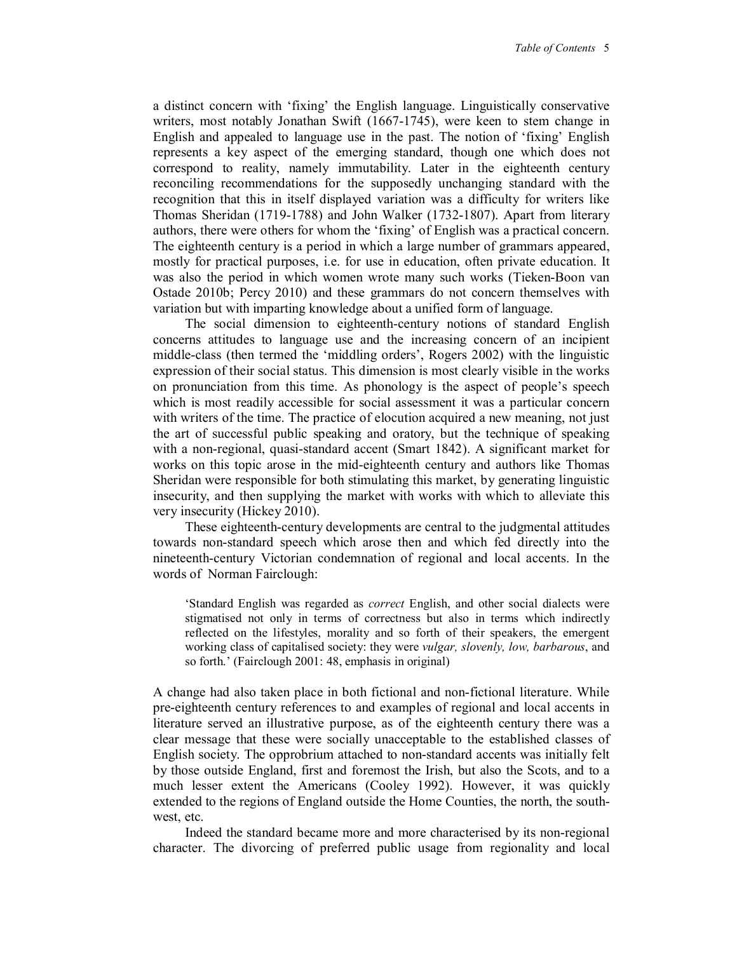a distinct concern with 'fixing' the English language. Linguistically conservative writers, most notably Jonathan Swift (1667-1745), were keen to stem change in English and appealed to language use in the past. The notion of 'fixing' English represents a key aspect of the emerging standard, though one which does not correspond to reality, namely immutability. Later in the eighteenth century reconciling recommendations for the supposedly unchanging standard with the recognition that this in itself displayed variation was a difficulty for writers like Thomas Sheridan (1719-1788) and John Walker (1732-1807). Apart from literary authors, there were others for whom the 'fixing' of English was a practical concern. The eighteenth century is a period in which a large number of grammars appeared, mostly for practical purposes, i.e. for use in education, often private education. It was also the period in which women wrote many such works (Tieken-Boon van Ostade 2010b; Percy 2010) and these grammars do not concern themselves with variation but with imparting knowledge about a unified form of language.

The social dimension to eighteenth-century notions of standard English concerns attitudes to language use and the increasing concern of an incipient middle-class (then termed the 'middling orders', Rogers 2002) with the linguistic expression of their social status. This dimension is most clearly visible in the works on pronunciation from this time. As phonology is the aspect of people's speech which is most readily accessible for social assessment it was a particular concern with writers of the time. The practice of elocution acquired a new meaning, not just the art of successful public speaking and oratory, but the technique of speaking with a non-regional, quasi-standard accent (Smart 1842). A significant market for works on this topic arose in the mid-eighteenth century and authors like Thomas Sheridan were responsible for both stimulating this market, by generating linguistic insecurity, and then supplying the market with works with which to alleviate this very insecurity (Hickey 2010).

These eighteenth-century developments are central to the judgmental attitudes towards non-standard speech which arose then and which fed directly into the nineteenth-century Victorian condemnation of regional and local accents. In the words of Norman Fairclough:

'Standard English was regarded as *correct* English, and other social dialects were stigmatised not only in terms of correctness but also in terms which indirectly reflected on the lifestyles, morality and so forth of their speakers, the emergent working class of capitalised society: they were *vulgar, slovenly, low, barbarous*, and so forth.' (Fairclough 2001: 48, emphasis in original)

A change had also taken place in both fictional and non-fictional literature. While pre-eighteenth century references to and examples of regional and local accents in literature served an illustrative purpose, as of the eighteenth century there was a clear message that these were socially unacceptable to the established classes of English society. The opprobrium attached to non-standard accents was initially felt by those outside England, first and foremost the Irish, but also the Scots, and to a much lesser extent the Americans (Cooley 1992). However, it was quickly extended to the regions of England outside the Home Counties, the north, the southwest, etc.

Indeed the standard became more and more characterised by its non-regional character. The divorcing of preferred public usage from regionality and local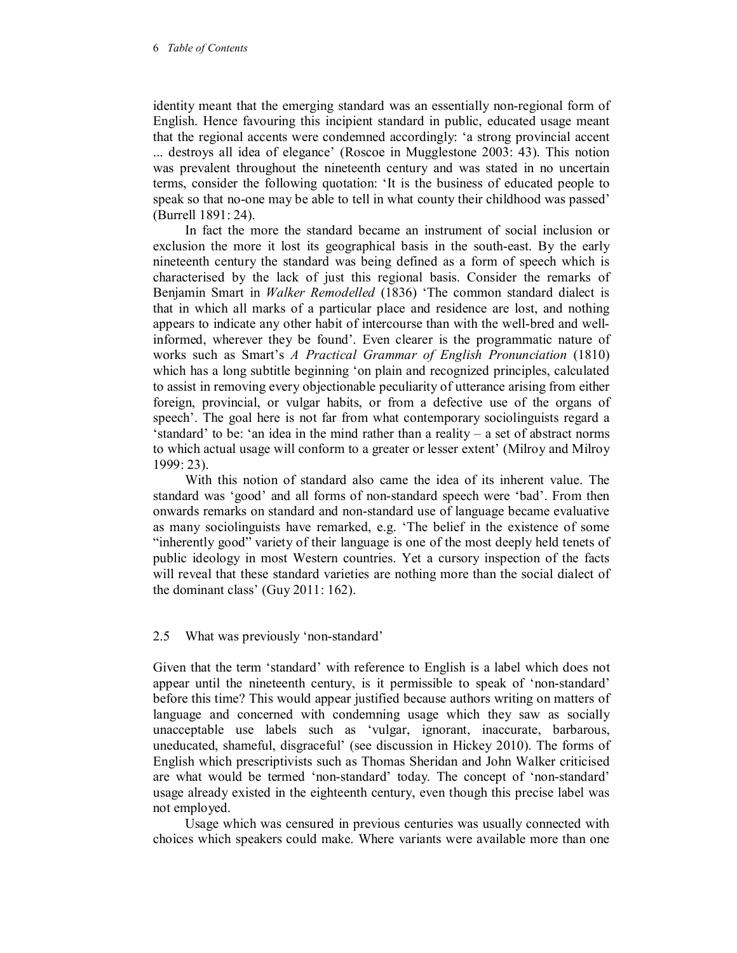identity meant that the emerging standard was an essentially non-regional form of English. Hence favouring this incipient standard in public, educated usage meant that the regional accents were condemned accordingly: 'a strong provincial accent ... destroys all idea of elegance' (Roscoe in Mugglestone 2003: 43). This notion was prevalent throughout the nineteenth century and was stated in no uncertain terms, consider the following quotation: 'It is the business of educated people to speak so that no-one may be able to tell in what county their childhood was passed' (Burrell 1891: 24).

In fact the more the standard became an instrument of social inclusion or exclusion the more it lost its geographical basis in the south-east. By the early nineteenth century the standard was being defined as a form of speech which is characterised by the lack of just this regional basis. Consider the remarks of Benjamin Smart in *Walker Remodelled* (1836) 'The common standard dialect is that in which all marks of a particular place and residence are lost, and nothing appears to indicate any other habit of intercourse than with the well-bred and wellinformed, wherever they be found'. Even clearer is the programmatic nature of works such as Smart's *A Practical Grammar of English Pronunciation* (1810) which has a long subtitle beginning 'on plain and recognized principles, calculated to assist in removing every objectionable peculiarity of utterance arising from either foreign, provincial, or vulgar habits, or from a defective use of the organs of speech'. The goal here is not far from what contemporary sociolinguists regard a 'standard' to be: 'an idea in the mind rather than a reality – a set of abstract norms to which actual usage will conform to a greater or lesser extent' (Milroy and Milroy 1999: 23).

With this notion of standard also came the idea of its inherent value. The standard was 'good' and all forms of non-standard speech were 'bad'. From then onwards remarks on standard and non-standard use of language became evaluative as many sociolinguists have remarked, e.g. 'The belief in the existence of some "inherently good" variety of their language is one of the most deeply held tenets of public ideology in most Western countries. Yet a cursory inspection of the facts will reveal that these standard varieties are nothing more than the social dialect of the dominant class' (Guy 2011: 162).

### 2.5 What was previously 'non-standard'

Given that the term 'standard' with reference to English is a label which does not appear until the nineteenth century, is it permissible to speak of 'non-standard' before this time? This would appear justified because authors writing on matters of language and concerned with condemning usage which they saw as socially unacceptable use labels such as 'vulgar, ignorant, inaccurate, barbarous, uneducated, shameful, disgraceful' (see discussion in Hickey 2010). The forms of English which prescriptivists such as Thomas Sheridan and John Walker criticised are what would be termed 'non-standard' today. The concept of 'non-standard' usage already existed in the eighteenth century, even though this precise label was not employed.

Usage which was censured in previous centuries was usually connected with choices which speakers could make. Where variants were available more than one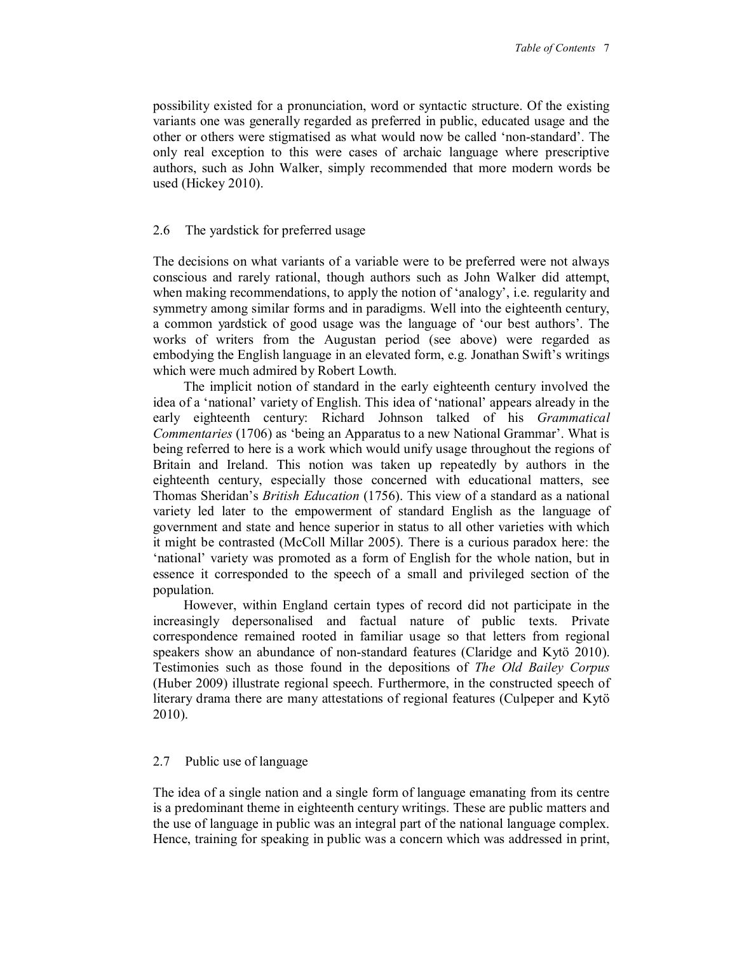possibility existed for a pronunciation, word or syntactic structure. Of the existing variants one was generally regarded as preferred in public, educated usage and the other or others were stigmatised as what would now be called 'non-standard'. The only real exception to this were cases of archaic language where prescriptive authors, such as John Walker, simply recommended that more modern words be used (Hickey 2010).

### 2.6 The yardstick for preferred usage

The decisions on what variants of a variable were to be preferred were not always conscious and rarely rational, though authors such as John Walker did attempt, when making recommendations, to apply the notion of 'analogy', i.e. regularity and symmetry among similar forms and in paradigms. Well into the eighteenth century, a common yardstick of good usage was the language of 'our best authors'. The works of writers from the Augustan period (see above) were regarded as embodying the English language in an elevated form, e.g. Jonathan Swift's writings which were much admired by Robert Lowth.

The implicit notion of standard in the early eighteenth century involved the idea of a 'national' variety of English. This idea of 'national' appears already in the early eighteenth century: Richard Johnson talked of his *Grammatical Commentaries* (1706) as 'being an Apparatus to a new National Grammar'. What is being referred to here is a work which would unify usage throughout the regions of Britain and Ireland. This notion was taken up repeatedly by authors in the eighteenth century, especially those concerned with educational matters, see Thomas Sheridan's *British Education* (1756). This view of a standard as a national variety led later to the empowerment of standard English as the language of government and state and hence superior in status to all other varieties with which it might be contrasted (McColl Millar 2005). There is a curious paradox here: the 'national' variety was promoted as a form of English for the whole nation, but in essence it corresponded to the speech of a small and privileged section of the population.

However, within England certain types of record did not participate in the increasingly depersonalised and factual nature of public texts. Private correspondence remained rooted in familiar usage so that letters from regional speakers show an abundance of non-standard features (Claridge and Kytö 2010). Testimonies such as those found in the depositions of *The Old Bailey Corpus* (Huber 2009) illustrate regional speech. Furthermore, in the constructed speech of literary drama there are many attestations of regional features (Culpeper and Kytö 2010).

## 2.7 Public use of language

The idea of a single nation and a single form of language emanating from its centre is a predominant theme in eighteenth century writings. These are public matters and the use of language in public was an integral part of the national language complex. Hence, training for speaking in public was a concern which was addressed in print,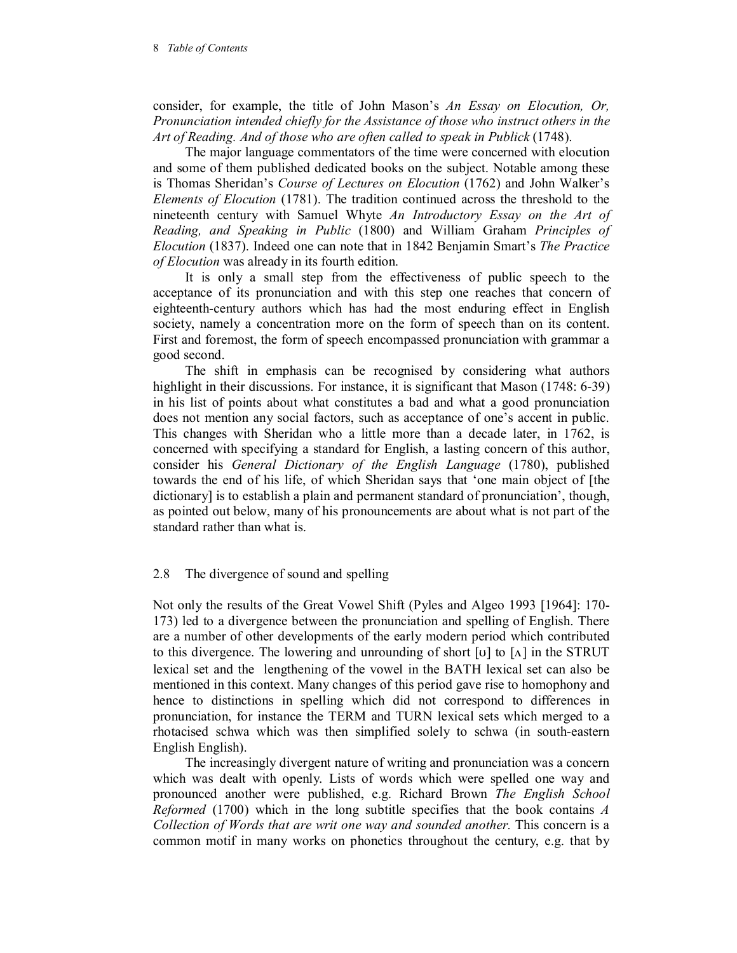consider, for example, the title of John Mason's *An Essay on Elocution, Or, Pronunciation intended chiefly for the Assistance of those who instruct others in the Art of Reading. And of those who are often called to speak in Publick* (1748).

The major language commentators of the time were concerned with elocution and some of them published dedicated books on the subject. Notable among these is Thomas Sheridan's *Course of Lectures on Elocution* (1762) and John Walker's *Elements of Elocution* (1781). The tradition continued across the threshold to the nineteenth century with Samuel Whyte *An Introductory Essay on the Art of Reading, and Speaking in Public* (1800) and William Graham *Principles of Elocution* (1837). Indeed one can note that in 1842 Benjamin Smart's *The Practice of Elocution* was already in its fourth edition.

It is only a small step from the effectiveness of public speech to the acceptance of its pronunciation and with this step one reaches that concern of eighteenth-century authors which has had the most enduring effect in English society, namely a concentration more on the form of speech than on its content. First and foremost, the form of speech encompassed pronunciation with grammar a good second.

The shift in emphasis can be recognised by considering what authors highlight in their discussions. For instance, it is significant that Mason (1748: 6-39) in his list of points about what constitutes a bad and what a good pronunciation does not mention any social factors, such as acceptance of one's accent in public. This changes with Sheridan who a little more than a decade later, in 1762, is concerned with specifying a standard for English, a lasting concern of this author, consider his *General Dictionary of the English Language* (1780), published towards the end of his life, of which Sheridan says that 'one main object of [the dictionary] is to establish a plain and permanent standard of pronunciation', though, as pointed out below, many of his pronouncements are about what is not part of the standard rather than what is.

## 2.8 The divergence of sound and spelling

Not only the results of the Great Vowel Shift (Pyles and Algeo 1993 [1964]: 170- 173) led to a divergence between the pronunciation and spelling of English. There are a number of other developments of the early modern period which contributed to this divergence. The lowering and unrounding of short [u] to  $\lceil \Delta \rceil$  in the STRUT lexical set and the lengthening of the vowel in the BATH lexical set can also be mentioned in this context. Many changes of this period gave rise to homophony and hence to distinctions in spelling which did not correspond to differences in pronunciation, for instance the TERM and TURN lexical sets which merged to a rhotacised schwa which was then simplified solely to schwa (in south-eastern English English).

The increasingly divergent nature of writing and pronunciation was a concern which was dealt with openly. Lists of words which were spelled one way and pronounced another were published, e.g. Richard Brown *The English School Reformed* (1700) which in the long subtitle specifies that the book contains *A Collection of Words that are writ one way and sounded another.* This concern is a common motif in many works on phonetics throughout the century, e.g. that by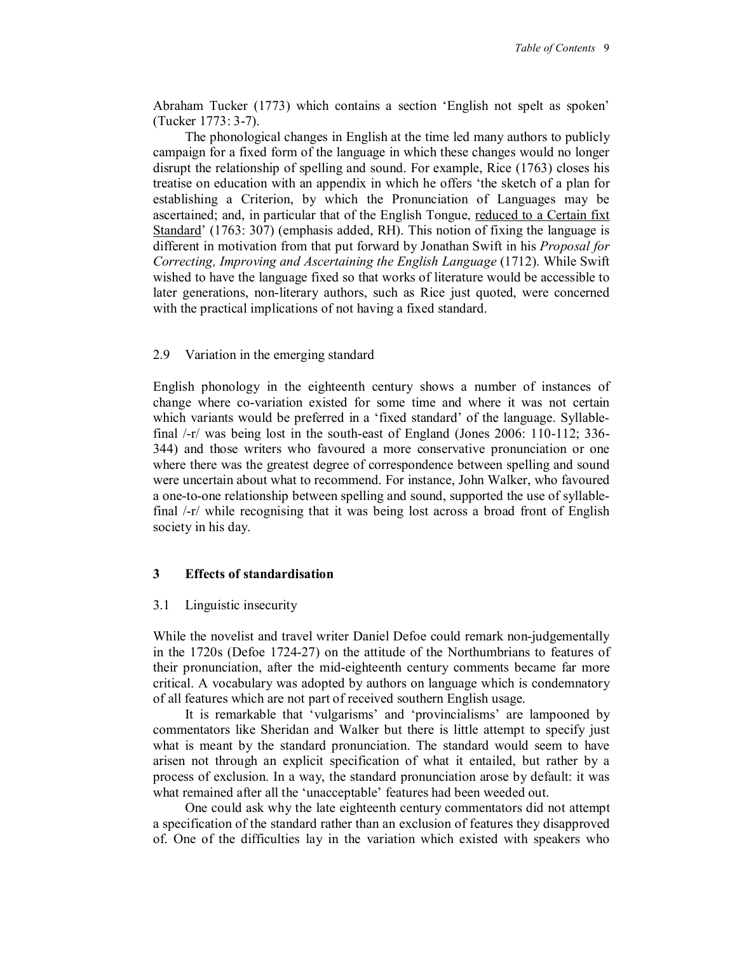Abraham Tucker (1773) which contains a section 'English not spelt as spoken' (Tucker 1773: 3-7).

The phonological changes in English at the time led many authors to publicly campaign for a fixed form of the language in which these changes would no longer disrupt the relationship of spelling and sound. For example, Rice (1763) closes his treatise on education with an appendix in which he offers 'the sketch of a plan for establishing a Criterion, by which the Pronunciation of Languages may be ascertained; and, in particular that of the English Tongue, reduced to a Certain fixt Standard' (1763: 307) (emphasis added, RH). This notion of fixing the language is different in motivation from that put forward by Jonathan Swift in his *Proposal for Correcting, Improving and Ascertaining the English Language* (1712). While Swift wished to have the language fixed so that works of literature would be accessible to later generations, non-literary authors, such as Rice just quoted, were concerned with the practical implications of not having a fixed standard.

#### 2.9 Variation in the emerging standard

English phonology in the eighteenth century shows a number of instances of change where co-variation existed for some time and where it was not certain which variants would be preferred in a 'fixed standard' of the language. Syllablefinal /-r/ was being lost in the south-east of England (Jones 2006: 110-112; 336- 344) and those writers who favoured a more conservative pronunciation or one where there was the greatest degree of correspondence between spelling and sound were uncertain about what to recommend. For instance, John Walker, who favoured a one-to-one relationship between spelling and sound, supported the use of syllablefinal /-r/ while recognising that it was being lost across a broad front of English society in his day.

### **3 Effects of standardisation**

#### 3.1 Linguistic insecurity

While the novelist and travel writer Daniel Defoe could remark non-judgementally in the 1720s (Defoe 1724-27) on the attitude of the Northumbrians to features of their pronunciation, after the mid-eighteenth century comments became far more critical. A vocabulary was adopted by authors on language which is condemnatory of all features which are not part of received southern English usage.

It is remarkable that 'vulgarisms' and 'provincialisms' are lampooned by commentators like Sheridan and Walker but there is little attempt to specify just what is meant by the standard pronunciation. The standard would seem to have arisen not through an explicit specification of what it entailed, but rather by a process of exclusion. In a way, the standard pronunciation arose by default: it was what remained after all the 'unacceptable' features had been weeded out.

One could ask why the late eighteenth century commentators did not attempt a specification of the standard rather than an exclusion of features they disapproved of. One of the difficulties lay in the variation which existed with speakers who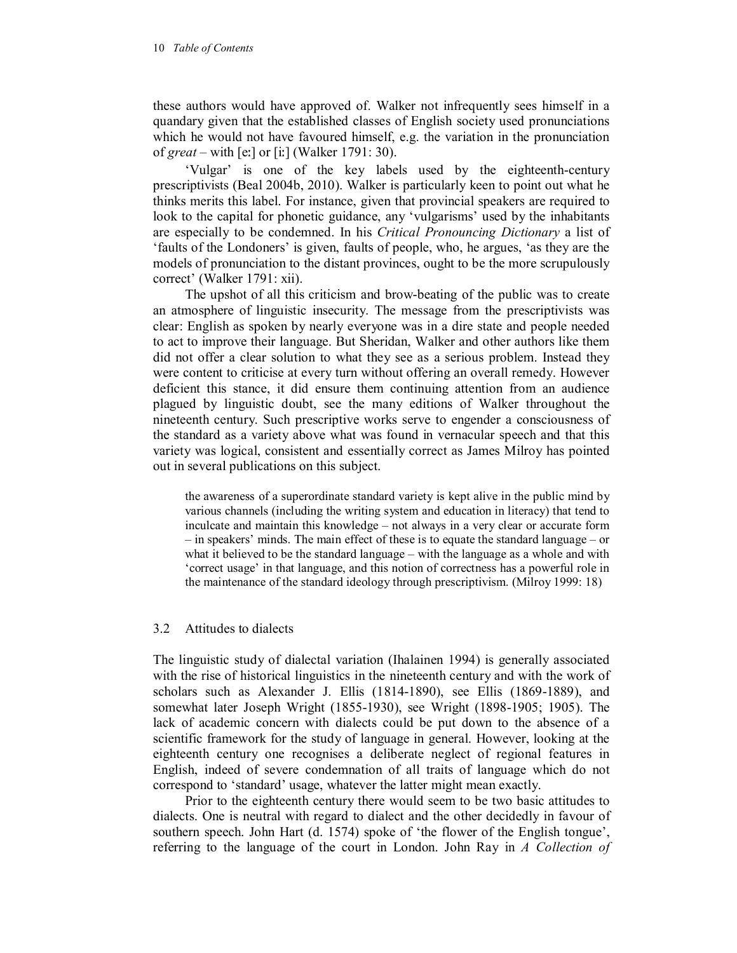these authors would have approved of. Walker not infrequently sees himself in a quandary given that the established classes of English society used pronunciations which he would not have favoured himself, e.g. the variation in the pronunciation of *great* – with [e:] or [i:] (Walker 1791: 30).

'Vulgar' is one of the key labels used by the eighteenth-century prescriptivists (Beal 2004b, 2010). Walker is particularly keen to point out what he thinks merits this label. For instance, given that provincial speakers are required to look to the capital for phonetic guidance, any 'vulgarisms' used by the inhabitants are especially to be condemned. In his *Critical Pronouncing Dictionary* a list of 'faults of the Londoners' is given, faults of people, who, he argues, 'as they are the models of pronunciation to the distant provinces, ought to be the more scrupulously correct' (Walker 1791: xii).

The upshot of all this criticism and brow-beating of the public was to create an atmosphere of linguistic insecurity. The message from the prescriptivists was clear: English as spoken by nearly everyone was in a dire state and people needed to act to improve their language. But Sheridan, Walker and other authors like them did not offer a clear solution to what they see as a serious problem. Instead they were content to criticise at every turn without offering an overall remedy. However deficient this stance, it did ensure them continuing attention from an audience plagued by linguistic doubt, see the many editions of Walker throughout the nineteenth century. Such prescriptive works serve to engender a consciousness of the standard as a variety above what was found in vernacular speech and that this variety was logical, consistent and essentially correct as James Milroy has pointed out in several publications on this subject.

the awareness of a superordinate standard variety is kept alive in the public mind by various channels (including the writing system and education in literacy) that tend to inculcate and maintain this knowledge – not always in a very clear or accurate form – in speakers' minds. The main effect of these is to equate the standard language – or what it believed to be the standard language – with the language as a whole and with 'correct usage' in that language, and this notion of correctness has a powerful role in the maintenance of the standard ideology through prescriptivism. (Milroy 1999: 18)

### 3.2 Attitudes to dialects

The linguistic study of dialectal variation (Ihalainen 1994) is generally associated with the rise of historical linguistics in the nineteenth century and with the work of scholars such as Alexander J. Ellis (1814-1890), see Ellis (1869-1889), and somewhat later Joseph Wright (1855-1930), see Wright (1898-1905; 1905). The lack of academic concern with dialects could be put down to the absence of a scientific framework for the study of language in general. However, looking at the eighteenth century one recognises a deliberate neglect of regional features in English, indeed of severe condemnation of all traits of language which do not correspond to 'standard' usage, whatever the latter might mean exactly.

Prior to the eighteenth century there would seem to be two basic attitudes to dialects. One is neutral with regard to dialect and the other decidedly in favour of southern speech. John Hart (d. 1574) spoke of 'the flower of the English tongue', referring to the language of the court in London. John Ray in *A Collection of*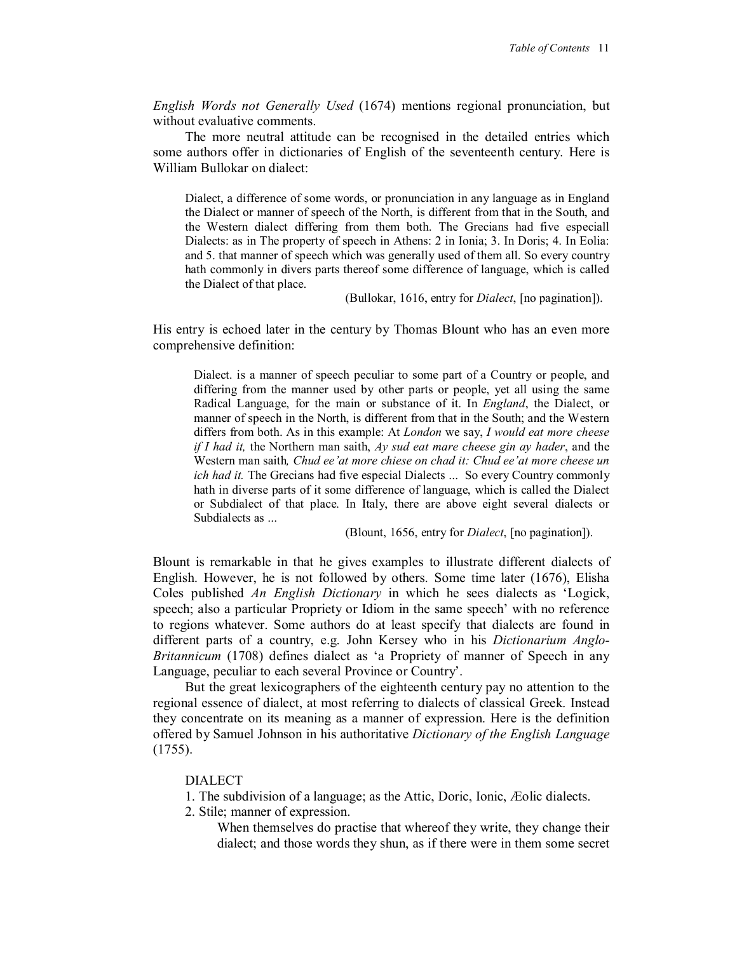*English Words not Generally Used* (1674) mentions regional pronunciation, but without evaluative comments.

The more neutral attitude can be recognised in the detailed entries which some authors offer in dictionaries of English of the seventeenth century. Here is William Bullokar on dialect:

Dialect, a difference of some words, or pronunciation in any language as in England the Dialect or manner of speech of the North, is different from that in the South, and the Western dialect differing from them both. The Grecians had five especiall Dialects: as in The property of speech in Athens: 2 in Ionia; 3. In Doris; 4. In Eolia: and 5. that manner of speech which was generally used of them all. So every country hath commonly in divers parts thereof some difference of language, which is called the Dialect of that place.

(Bullokar, 1616, entry for *Dialect*, [no pagination]).

His entry is echoed later in the century by Thomas Blount who has an even more comprehensive definition:

Dialect. is a manner of speech peculiar to some part of a Country or people, and differing from the manner used by other parts or people, yet all using the same Radical Language, for the main or substance of it. In *England*, the Dialect, or manner of speech in the North, is different from that in the South; and the Western differs from both. As in this example: At *London* we say, *I would eat more cheese if I had it,* the Northern man saith, *Ay sud eat mare cheese gin ay hader*, and the Western man saith*, Chud ee'at more chiese on chad it: Chud ee'at more cheese un ich had it.* The Grecians had five especial Dialects ... So every Country commonly hath in diverse parts of it some difference of language, which is called the Dialect or Subdialect of that place. In Italy, there are above eight several dialects or Subdialects as ...

(Blount, 1656, entry for *Dialect*, [no pagination]).

Blount is remarkable in that he gives examples to illustrate different dialects of English. However, he is not followed by others. Some time later (1676), Elisha Coles published *An English Dictionary* in which he sees dialects as 'Logick, speech; also a particular Propriety or Idiom in the same speech' with no reference to regions whatever. Some authors do at least specify that dialects are found in different parts of a country, e.g. John Kersey who in his *Dictionarium Anglo-Britannicum* (1708) defines dialect as 'a Propriety of manner of Speech in any Language, peculiar to each several Province or Country'.

But the great lexicographers of the eighteenth century pay no attention to the regional essence of dialect, at most referring to dialects of classical Greek. Instead they concentrate on its meaning as a manner of expression. Here is the definition offered by Samuel Johnson in his authoritative *Dictionary of the English Language* (1755).

#### DIALECT

1. The subdivision of a language; as the Attic, Doric, Ionic, Æolic dialects.

2. Stile; manner of expression.

 When themselves do practise that whereof they write, they change their dialect; and those words they shun, as if there were in them some secret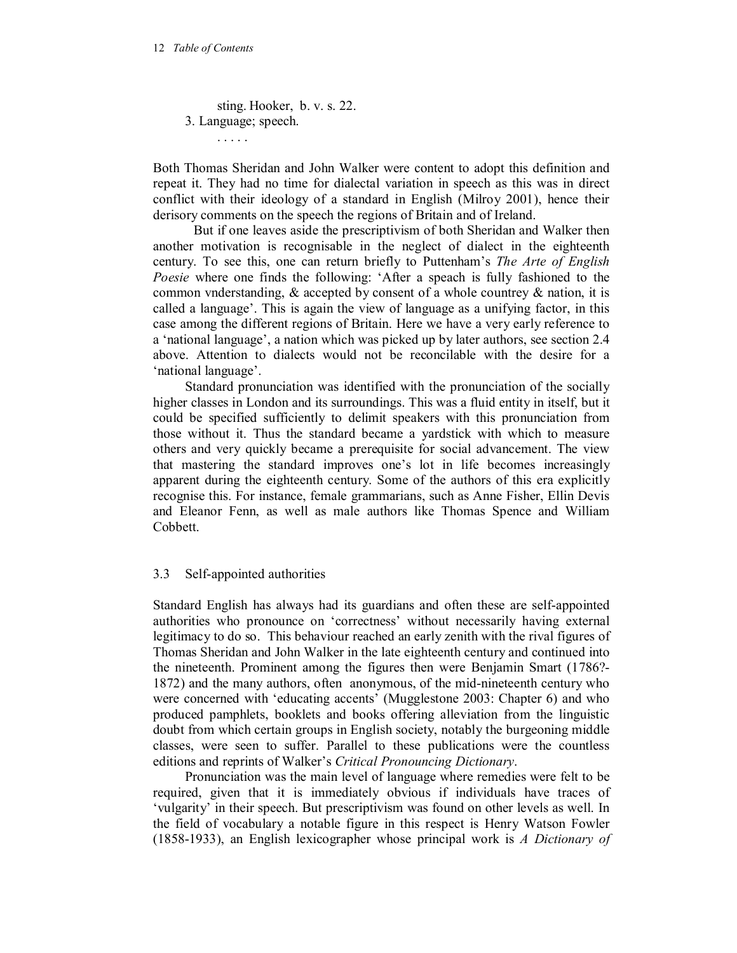sting. Hooker, b. v. s. 22. 3. Language; speech.

. . . . .

Both Thomas Sheridan and John Walker were content to adopt this definition and repeat it. They had no time for dialectal variation in speech as this was in direct conflict with their ideology of a standard in English (Milroy 2001), hence their derisory comments on the speech the regions of Britain and of Ireland.

But if one leaves aside the prescriptivism of both Sheridan and Walker then another motivation is recognisable in the neglect of dialect in the eighteenth century. To see this, one can return briefly to Puttenham's *The Arte of English Poesie* where one finds the following: 'After a speach is fully fashioned to the common vnderstanding,  $\&$  accepted by consent of a whole countrey  $\&$  nation, it is called a language'. This is again the view of language as a unifying factor, in this case among the different regions of Britain. Here we have a very early reference to a 'national language', a nation which was picked up by later authors, see section 2.4 above. Attention to dialects would not be reconcilable with the desire for a 'national language'.

Standard pronunciation was identified with the pronunciation of the socially higher classes in London and its surroundings. This was a fluid entity in itself, but it could be specified sufficiently to delimit speakers with this pronunciation from those without it. Thus the standard became a yardstick with which to measure others and very quickly became a prerequisite for social advancement. The view that mastering the standard improves one's lot in life becomes increasingly apparent during the eighteenth century. Some of the authors of this era explicitly recognise this. For instance, female grammarians, such as Anne Fisher, Ellin Devis and Eleanor Fenn, as well as male authors like Thomas Spence and William Cobbett.

### 3.3 Self-appointed authorities

Standard English has always had its guardians and often these are self-appointed authorities who pronounce on 'correctness' without necessarily having external legitimacy to do so. This behaviour reached an early zenith with the rival figures of Thomas Sheridan and John Walker in the late eighteenth century and continued into the nineteenth. Prominent among the figures then were Benjamin Smart (1786?- 1872) and the many authors, often anonymous, of the mid-nineteenth century who were concerned with 'educating accents' (Mugglestone 2003: Chapter 6) and who produced pamphlets, booklets and books offering alleviation from the linguistic doubt from which certain groups in English society, notably the burgeoning middle classes, were seen to suffer. Parallel to these publications were the countless editions and reprints of Walker's *Critical Pronouncing Dictionary*.

Pronunciation was the main level of language where remedies were felt to be required, given that it is immediately obvious if individuals have traces of 'vulgarity' in their speech. But prescriptivism was found on other levels as well. In the field of vocabulary a notable figure in this respect is Henry Watson Fowler (1858-1933), an English lexicographer whose principal work is *A Dictionary of*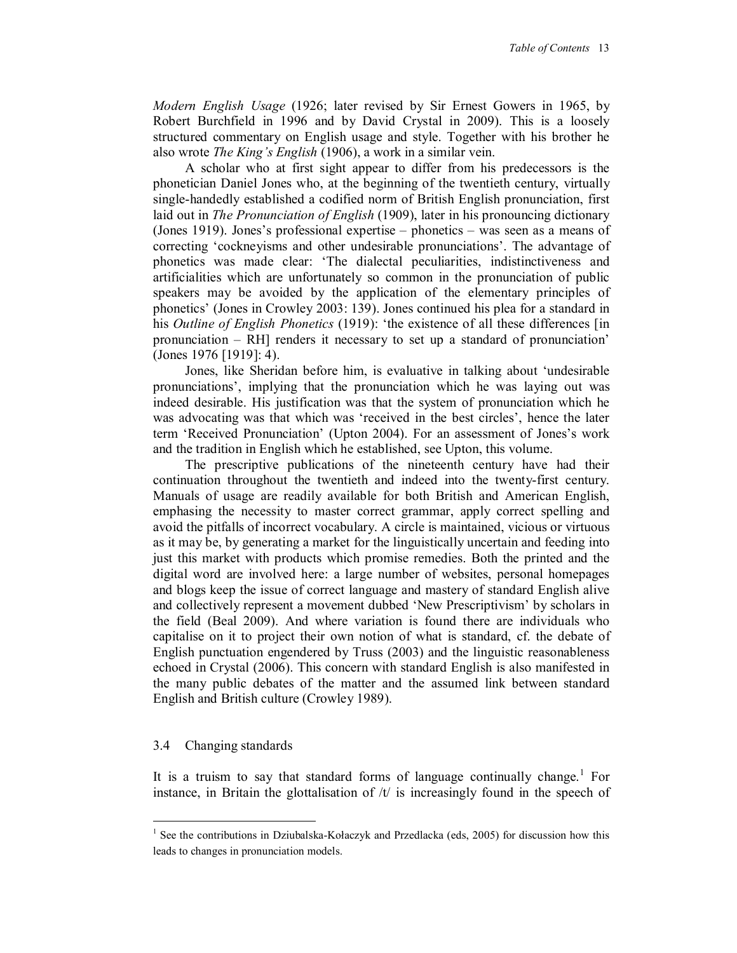*Modern English Usage* (1926; later revised by Sir Ernest Gowers in 1965, by Robert Burchfield in 1996 and by David Crystal in 2009). This is a loosely structured commentary on English usage and style. Together with his brother he also wrote *The King's English* (1906), a work in a similar vein.

A scholar who at first sight appear to differ from his predecessors is the phonetician Daniel Jones who, at the beginning of the twentieth century, virtually single-handedly established a codified norm of British English pronunciation, first laid out in *The Pronunciation of English* (1909), later in his pronouncing dictionary (Jones 1919). Jones's professional expertise – phonetics – was seen as a means of correcting 'cockneyisms and other undesirable pronunciations'. The advantage of phonetics was made clear: 'The dialectal peculiarities, indistinctiveness and artificialities which are unfortunately so common in the pronunciation of public speakers may be avoided by the application of the elementary principles of phonetics' (Jones in Crowley 2003: 139). Jones continued his plea for a standard in his *Outline of English Phonetics* (1919): 'the existence of all these differences [in pronunciation – RH] renders it necessary to set up a standard of pronunciation' (Jones 1976 [1919]: 4).

Jones, like Sheridan before him, is evaluative in talking about 'undesirable pronunciations', implying that the pronunciation which he was laying out was indeed desirable. His justification was that the system of pronunciation which he was advocating was that which was 'received in the best circles', hence the later term 'Received Pronunciation' (Upton 2004). For an assessment of Jones's work and the tradition in English which he established, see Upton, this volume.

The prescriptive publications of the nineteenth century have had their continuation throughout the twentieth and indeed into the twenty-first century. Manuals of usage are readily available for both British and American English, emphasing the necessity to master correct grammar, apply correct spelling and avoid the pitfalls of incorrect vocabulary. A circle is maintained, vicious or virtuous as it may be, by generating a market for the linguistically uncertain and feeding into just this market with products which promise remedies. Both the printed and the digital word are involved here: a large number of websites, personal homepages and blogs keep the issue of correct language and mastery of standard English alive and collectively represent a movement dubbed 'New Prescriptivism' by scholars in the field (Beal 2009). And where variation is found there are individuals who capitalise on it to project their own notion of what is standard, cf. the debate of English punctuation engendered by Truss (2003) and the linguistic reasonableness echoed in Crystal (2006). This concern with standard English is also manifested in the many public debates of the matter and the assumed link between standard English and British culture (Crowley 1989).

### 3.4 Changing standards

It is a truism to say that standard forms of language continually change.<sup>1</sup> For instance, in Britain the glottalisation of  $/t/$  is increasingly found in the speech of

 $1$  See the contributions in Dziubalska-Kołaczyk and Przedlacka (eds, 2005) for discussion how this leads to changes in pronunciation models.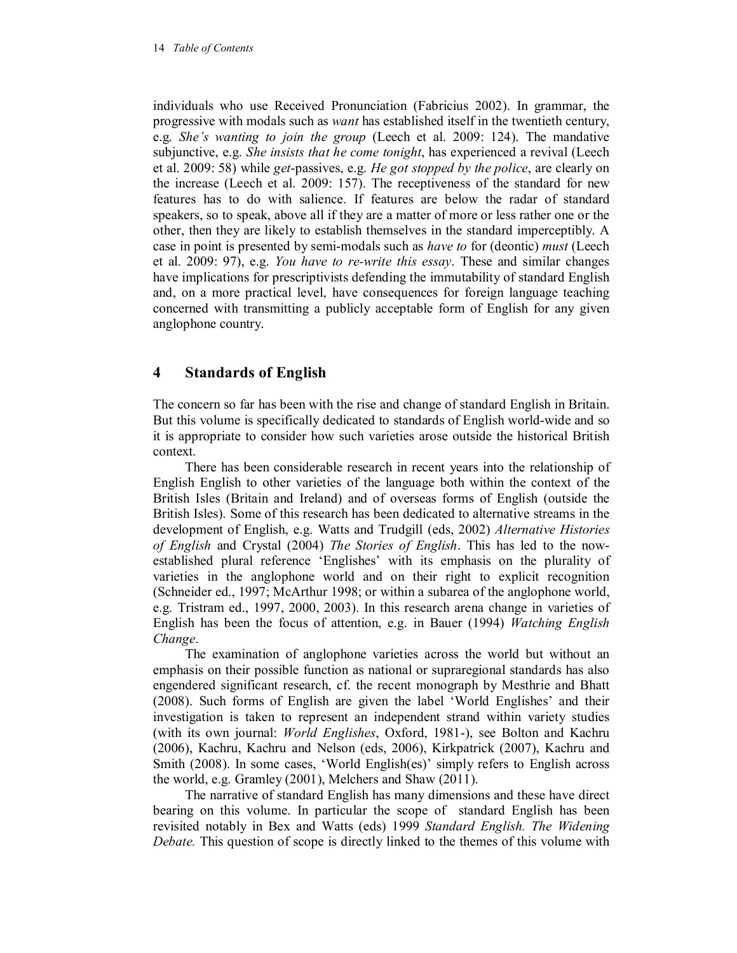individuals who use Received Pronunciation (Fabricius 2002). In grammar, the progressive with modals such as *want* has established itself in the twentieth century, e.g. *She's wanting to join the group* (Leech et al. 2009: 124). The mandative subjunctive, e.g. *She insists that he come tonight*, has experienced a revival (Leech et al. 2009: 58) while *get*-passives, e.g. *He got stopped by the police*, are clearly on the increase (Leech et al. 2009: 157). The receptiveness of the standard for new features has to do with salience. If features are below the radar of standard speakers, so to speak, above all if they are a matter of more or less rather one or the other, then they are likely to establish themselves in the standard imperceptibly. A case in point is presented by semi-modals such as *have to* for (deontic) *must* (Leech et al. 2009: 97), e.g. *You have to re-write this essay*. These and similar changes have implications for prescriptivists defending the immutability of standard English and, on a more practical level, have consequences for foreign language teaching concerned with transmitting a publicly acceptable form of English for any given anglophone country.

# **4 Standards of English**

The concern so far has been with the rise and change of standard English in Britain. But this volume is specifically dedicated to standards of English world-wide and so it is appropriate to consider how such varieties arose outside the historical British context.

There has been considerable research in recent years into the relationship of English English to other varieties of the language both within the context of the British Isles (Britain and Ireland) and of overseas forms of English (outside the British Isles). Some of this research has been dedicated to alternative streams in the development of English, e.g. Watts and Trudgill (eds, 2002) *Alternative Histories of English* and Crystal (2004) *The Stories of English*. This has led to the nowestablished plural reference 'Englishes' with its emphasis on the plurality of varieties in the anglophone world and on their right to explicit recognition (Schneider ed., 1997; McArthur 1998; or within a subarea of the anglophone world, e.g. Tristram ed., 1997, 2000, 2003). In this research arena change in varieties of English has been the focus of attention, e.g. in Bauer (1994) *Watching English Change*.

The examination of anglophone varieties across the world but without an emphasis on their possible function as national or supraregional standards has also engendered significant research, cf. the recent monograph by Mesthrie and Bhatt (2008). Such forms of English are given the label 'World Englishes' and their investigation is taken to represent an independent strand within variety studies (with its own journal: *World Englishes*, Oxford, 1981-), see Bolton and Kachru (2006), Kachru, Kachru and Nelson (eds, 2006), Kirkpatrick (2007), Kachru and Smith (2008). In some cases, 'World English(es)' simply refers to English across the world, e.g. Gramley (2001), Melchers and Shaw (2011).

The narrative of standard English has many dimensions and these have direct bearing on this volume. In particular the scope of standard English has been revisited notably in Bex and Watts (eds) 1999 *Standard English. The Widening Debate.* This question of scope is directly linked to the themes of this volume with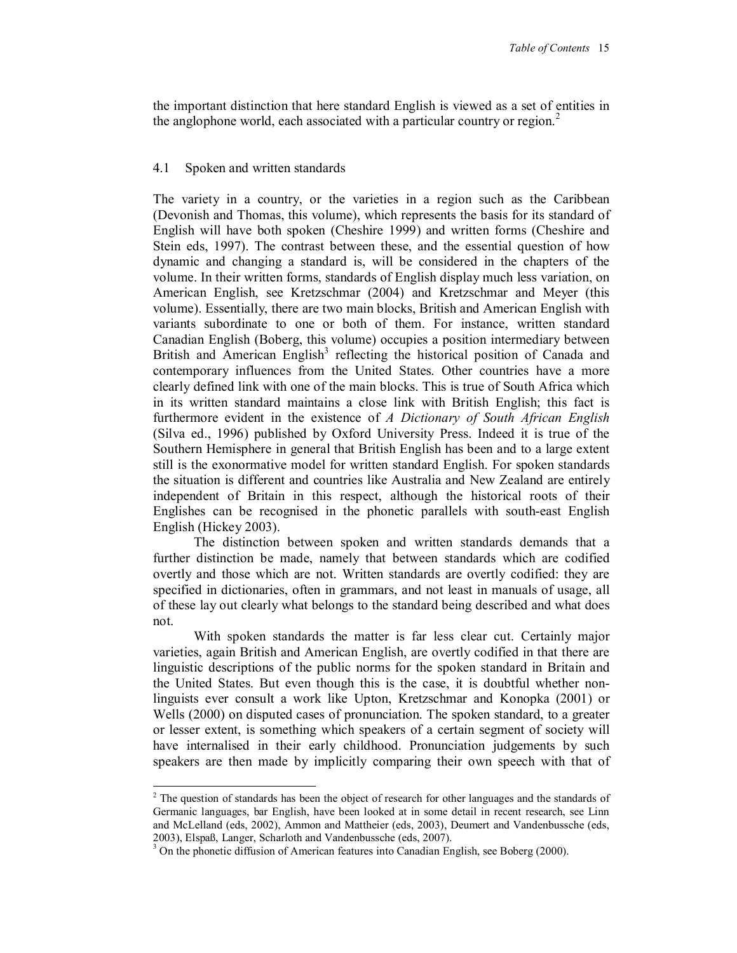the important distinction that here standard English is viewed as a set of entities in the anglophone world, each associated with a particular country or region. 2

#### 4.1 Spoken and written standards

l

The variety in a country, or the varieties in a region such as the Caribbean (Devonish and Thomas, this volume), which represents the basis for its standard of English will have both spoken (Cheshire 1999) and written forms (Cheshire and Stein eds, 1997). The contrast between these, and the essential question of how dynamic and changing a standard is, will be considered in the chapters of the volume. In their written forms, standards of English display much less variation, on American English, see Kretzschmar (2004) and Kretzschmar and Meyer (this volume). Essentially, there are two main blocks, British and American English with variants subordinate to one or both of them. For instance, written standard Canadian English (Boberg, this volume) occupies a position intermediary between British and American English<sup>3</sup> reflecting the historical position of Canada and contemporary influences from the United States. Other countries have a more clearly defined link with one of the main blocks. This is true of South Africa which in its written standard maintains a close link with British English; this fact is furthermore evident in the existence of *A Dictionary of South African English* (Silva ed., 1996) published by Oxford University Press. Indeed it is true of the Southern Hemisphere in general that British English has been and to a large extent still is the exonormative model for written standard English. For spoken standards the situation is different and countries like Australia and New Zealand are entirely independent of Britain in this respect, although the historical roots of their Englishes can be recognised in the phonetic parallels with south-east English English (Hickey 2003).

The distinction between spoken and written standards demands that a further distinction be made, namely that between standards which are codified overtly and those which are not. Written standards are overtly codified: they are specified in dictionaries, often in grammars, and not least in manuals of usage, all of these lay out clearly what belongs to the standard being described and what does not.

With spoken standards the matter is far less clear cut. Certainly major varieties, again British and American English, are overtly codified in that there are linguistic descriptions of the public norms for the spoken standard in Britain and the United States. But even though this is the case, it is doubtful whether nonlinguists ever consult a work like Upton, Kretzschmar and Konopka (2001) or Wells (2000) on disputed cases of pronunciation. The spoken standard, to a greater or lesser extent, is something which speakers of a certain segment of society will have internalised in their early childhood. Pronunciation judgements by such speakers are then made by implicitly comparing their own speech with that of

<sup>&</sup>lt;sup>2</sup> The question of standards has been the object of research for other languages and the standards of Germanic languages, bar English, have been looked at in some detail in recent research, see Linn and McLelland (eds, 2002), Ammon and Mattheier (eds, 2003), Deumert and Vandenbussche (eds, 2003), Elspaß, Langer, Scharloth and Vandenbussche (eds, 2007).

<sup>&</sup>lt;sup>3</sup> On the phonetic diffusion of American features into Canadian English, see Boberg (2000).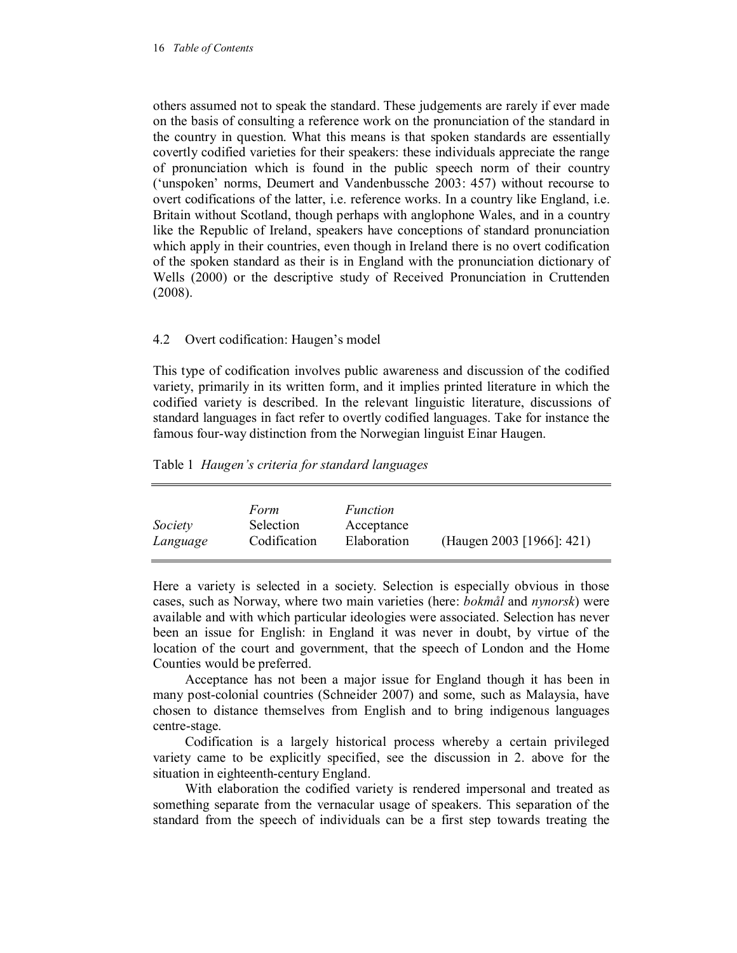others assumed not to speak the standard. These judgements are rarely if ever made on the basis of consulting a reference work on the pronunciation of the standard in the country in question. What this means is that spoken standards are essentially covertly codified varieties for their speakers: these individuals appreciate the range of pronunciation which is found in the public speech norm of their country ('unspoken' norms, Deumert and Vandenbussche 2003: 457) without recourse to overt codifications of the latter, i.e. reference works. In a country like England, i.e. Britain without Scotland, though perhaps with anglophone Wales, and in a country like the Republic of Ireland, speakers have conceptions of standard pronunciation which apply in their countries, even though in Ireland there is no overt codification of the spoken standard as their is in England with the pronunciation dictionary of Wells (2000) or the descriptive study of Received Pronunciation in Cruttenden (2008).

## 4.2 Overt codification: Haugen's model

This type of codification involves public awareness and discussion of the codified variety, primarily in its written form, and it implies printed literature in which the codified variety is described. In the relevant linguistic literature, discussions of standard languages in fact refer to overtly codified languages. Take for instance the famous four-way distinction from the Norwegian linguist Einar Haugen.

Table 1 *Haugen's criteria for standard languages*

Here a variety is selected in a society. Selection is especially obvious in those cases, such as Norway, where two main varieties (here: *bokmål* and *nynorsk*) were available and with which particular ideologies were associated. Selection has never been an issue for English: in England it was never in doubt, by virtue of the location of the court and government, that the speech of London and the Home Counties would be preferred.

Acceptance has not been a major issue for England though it has been in many post-colonial countries (Schneider 2007) and some, such as Malaysia, have chosen to distance themselves from English and to bring indigenous languages centre-stage.

Codification is a largely historical process whereby a certain privileged variety came to be explicitly specified, see the discussion in 2. above for the situation in eighteenth-century England.

With elaboration the codified variety is rendered impersonal and treated as something separate from the vernacular usage of speakers. This separation of the standard from the speech of individuals can be a first step towards treating the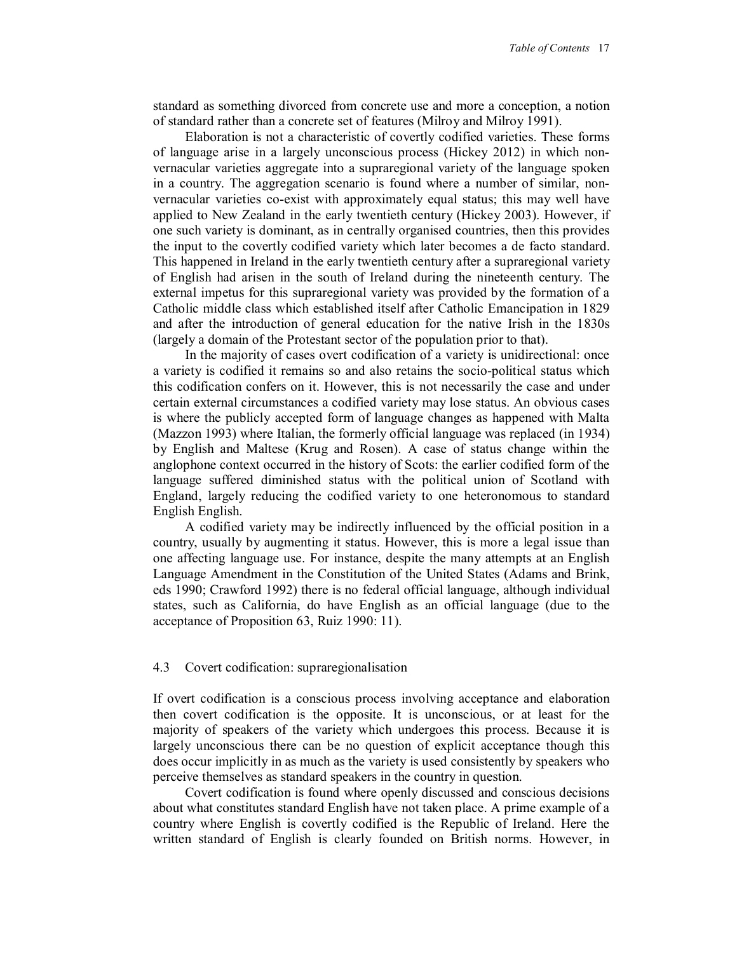standard as something divorced from concrete use and more a conception, a notion of standard rather than a concrete set of features (Milroy and Milroy 1991).

Elaboration is not a characteristic of covertly codified varieties. These forms of language arise in a largely unconscious process (Hickey 2012) in which nonvernacular varieties aggregate into a supraregional variety of the language spoken in a country. The aggregation scenario is found where a number of similar, nonvernacular varieties co-exist with approximately equal status; this may well have applied to New Zealand in the early twentieth century (Hickey 2003). However, if one such variety is dominant, as in centrally organised countries, then this provides the input to the covertly codified variety which later becomes a de facto standard. This happened in Ireland in the early twentieth century after a supraregional variety of English had arisen in the south of Ireland during the nineteenth century. The external impetus for this supraregional variety was provided by the formation of a Catholic middle class which established itself after Catholic Emancipation in 1829 and after the introduction of general education for the native Irish in the 1830s (largely a domain of the Protestant sector of the population prior to that).

In the majority of cases overt codification of a variety is unidirectional: once a variety is codified it remains so and also retains the socio-political status which this codification confers on it. However, this is not necessarily the case and under certain external circumstances a codified variety may lose status. An obvious cases is where the publicly accepted form of language changes as happened with Malta (Mazzon 1993) where Italian, the formerly official language was replaced (in 1934) by English and Maltese (Krug and Rosen). A case of status change within the anglophone context occurred in the history of Scots: the earlier codified form of the language suffered diminished status with the political union of Scotland with England, largely reducing the codified variety to one heteronomous to standard English English.

A codified variety may be indirectly influenced by the official position in a country, usually by augmenting it status. However, this is more a legal issue than one affecting language use. For instance, despite the many attempts at an English Language Amendment in the Constitution of the United States (Adams and Brink, eds 1990; Crawford 1992) there is no federal official language, although individual states, such as California, do have English as an official language (due to the acceptance of Proposition 63, Ruiz 1990: 11).

#### 4.3 Covert codification: supraregionalisation

If overt codification is a conscious process involving acceptance and elaboration then covert codification is the opposite. It is unconscious, or at least for the majority of speakers of the variety which undergoes this process. Because it is largely unconscious there can be no question of explicit acceptance though this does occur implicitly in as much as the variety is used consistently by speakers who perceive themselves as standard speakers in the country in question.

Covert codification is found where openly discussed and conscious decisions about what constitutes standard English have not taken place. A prime example of a country where English is covertly codified is the Republic of Ireland. Here the written standard of English is clearly founded on British norms. However, in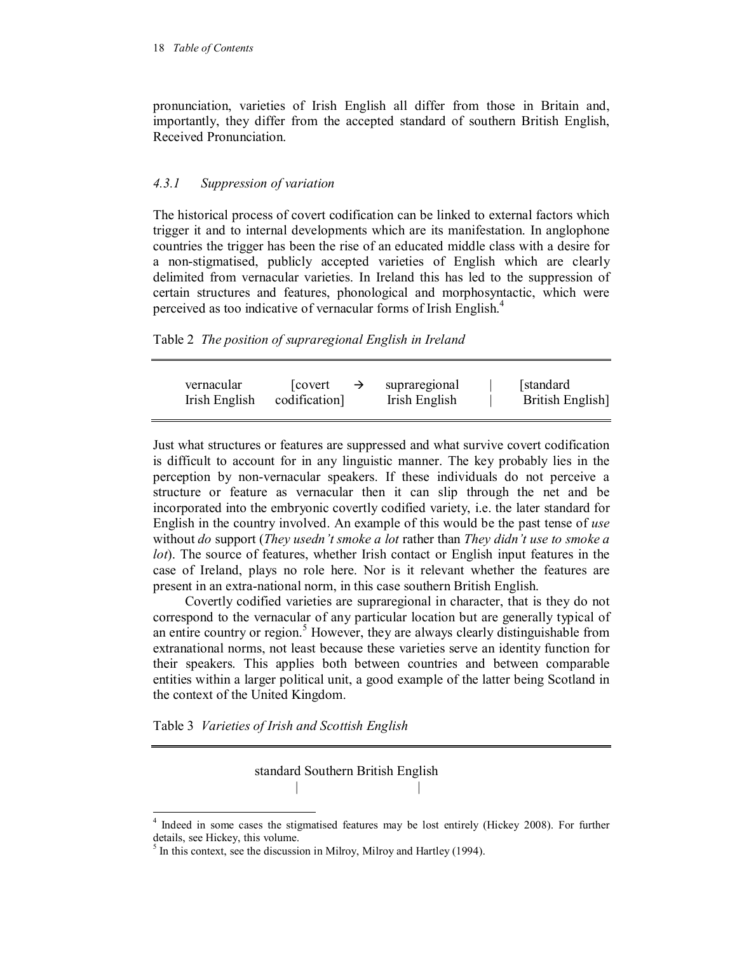pronunciation, varieties of Irish English all differ from those in Britain and, importantly, they differ from the accepted standard of southern British English, Received Pronunciation.

## *4.3.1 Suppression of variation*

The historical process of covert codification can be linked to external factors which trigger it and to internal developments which are its manifestation. In anglophone countries the trigger has been the rise of an educated middle class with a desire for a non-stigmatised, publicly accepted varieties of English which are clearly delimited from vernacular varieties. In Ireland this has led to the suppression of certain structures and features, phonological and morphosyntactic, which were perceived as too indicative of vernacular forms of Irish English.<sup>4</sup>

Table 2 *The position of supraregional English in Ireland*

Just what structures or features are suppressed and what survive covert codification is difficult to account for in any linguistic manner. The key probably lies in the perception by non-vernacular speakers. If these individuals do not perceive a structure or feature as vernacular then it can slip through the net and be incorporated into the embryonic covertly codified variety, i.e. the later standard for English in the country involved. An example of this would be the past tense of *use* without *do* support (*They usedn't smoke a lot* rather than *They didn't use to smoke a lot*). The source of features, whether Irish contact or English input features in the case of Ireland, plays no role here. Nor is it relevant whether the features are present in an extra-national norm, in this case southern British English.

Covertly codified varieties are supraregional in character, that is they do not correspond to the vernacular of any particular location but are generally typical of an entire country or region.<sup>5</sup> However, they are always clearly distinguishable from extranational norms, not least because these varieties serve an identity function for their speakers. This applies both between countries and between comparable entities within a larger political unit, a good example of the latter being Scotland in the context of the United Kingdom.

Table 3 *Varieties of Irish and Scottish English*

standard Southern British English

| |

 $\overline{a}$ 4 Indeed in some cases the stigmatised features may be lost entirely (Hickey 2008). For further details, see Hickey, this volume.

 $<sup>5</sup>$  In this context, see the discussion in Milroy, Milroy and Hartley (1994).</sup>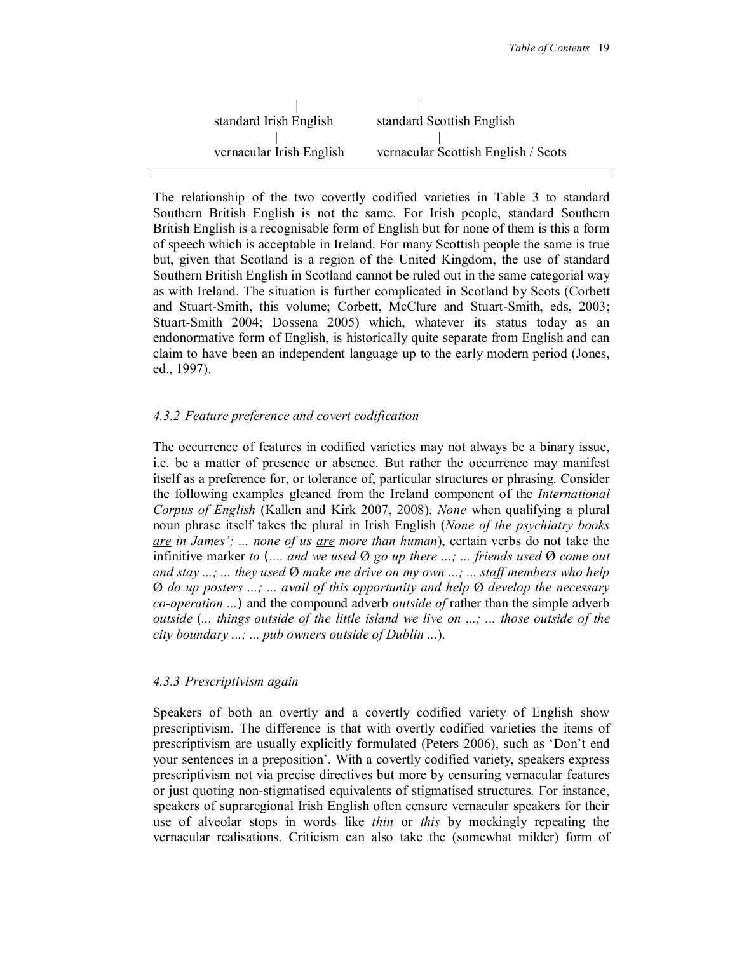| standard Irish English   | standard Scottish English           |
|--------------------------|-------------------------------------|
|                          |                                     |
| vernacular Irish English | vernacular Scottish English / Scots |

The relationship of the two covertly codified varieties in Table 3 to standard Southern British English is not the same. For Irish people, standard Southern British English is a recognisable form of English but for none of them is this a form of speech which is acceptable in Ireland. For many Scottish people the same is true but, given that Scotland is a region of the United Kingdom, the use of standard Southern British English in Scotland cannot be ruled out in the same categorial way as with Ireland. The situation is further complicated in Scotland by Scots (Corbett and Stuart-Smith, this volume; Corbett, McClure and Stuart-Smith, eds, 2003; Stuart-Smith 2004; Dossena 2005) which, whatever its status today as an endonormative form of English, is historically quite separate from English and can claim to have been an independent language up to the early modern period (Jones, ed., 1997).

## *4.3.2 Feature preference and covert codification*

The occurrence of features in codified varieties may not always be a binary issue, i.e. be a matter of presence or absence. But rather the occurrence may manifest itself as a preference for, or tolerance of, particular structures or phrasing. Consider the following examples gleaned from the Ireland component of the *International Corpus of English* (Kallen and Kirk 2007, 2008). *None* when qualifying a plural noun phrase itself takes the plural in Irish English (*None of the psychiatry books are in James'; ... none of us are more than human*), certain verbs do not take the infinitive marker *to* (*.... and we used* Ø *go up there ...; ... friends used* Ø *come out and stay ...; ... they used* Ø *make me drive on my own ...; ... staff members who help*  Ø *do up posters ...; ... avail of this opportunity and help* Ø *develop the necessary co-operation ...*) and the compound adverb *outside of* rather than the simple adverb *outside* (*... things outside of the little island we live on ...; ... those outside of the city boundary ...; ... pub owners outside of Dublin ...*).

## *4.3.3 Prescriptivism again*

Speakers of both an overtly and a covertly codified variety of English show prescriptivism. The difference is that with overtly codified varieties the items of prescriptivism are usually explicitly formulated (Peters 2006), such as 'Don't end your sentences in a preposition'. With a covertly codified variety, speakers express prescriptivism not via precise directives but more by censuring vernacular features or just quoting non-stigmatised equivalents of stigmatised structures. For instance, speakers of supraregional Irish English often censure vernacular speakers for their use of alveolar stops in words like *thin* or *this* by mockingly repeating the vernacular realisations. Criticism can also take the (somewhat milder) form of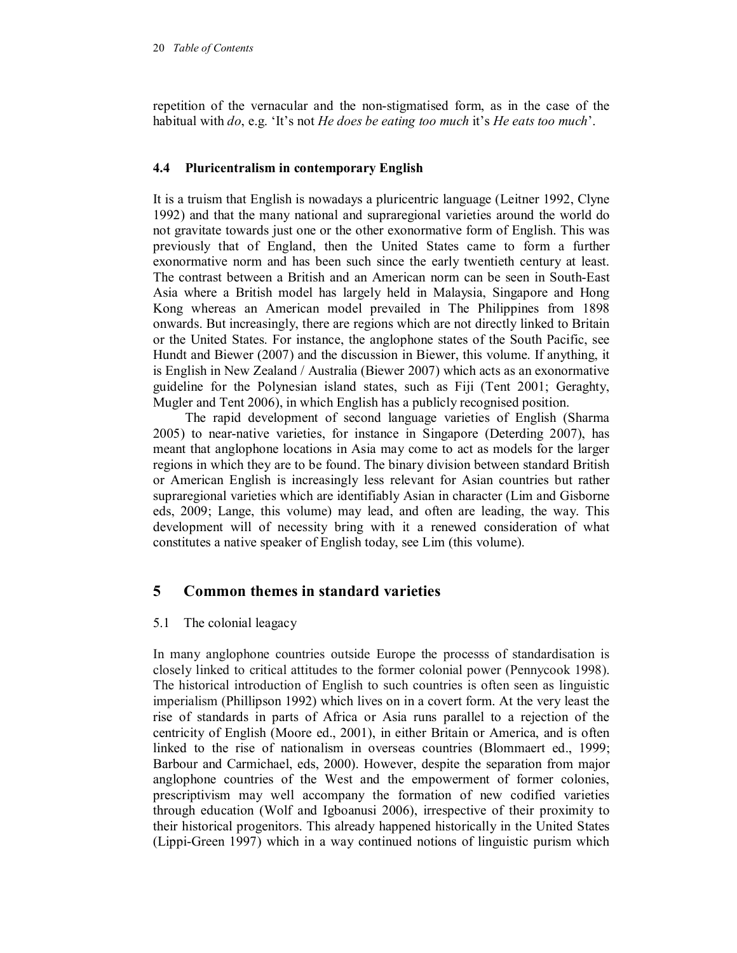repetition of the vernacular and the non-stigmatised form, as in the case of the habitual with *do*, e.g. 'It's not *He does be eating too much* it's *He eats too much*'.

### **4.4 Pluricentralism in contemporary English**

It is a truism that English is nowadays a pluricentric language (Leitner 1992, Clyne 1992) and that the many national and supraregional varieties around the world do not gravitate towards just one or the other exonormative form of English. This was previously that of England, then the United States came to form a further exonormative norm and has been such since the early twentieth century at least. The contrast between a British and an American norm can be seen in South-East Asia where a British model has largely held in Malaysia, Singapore and Hong Kong whereas an American model prevailed in The Philippines from 1898 onwards. But increasingly, there are regions which are not directly linked to Britain or the United States. For instance, the anglophone states of the South Pacific, see Hundt and Biewer (2007) and the discussion in Biewer, this volume. If anything, it is English in New Zealand / Australia (Biewer 2007) which acts as an exonormative guideline for the Polynesian island states, such as Fiji (Tent 2001; Geraghty, Mugler and Tent 2006), in which English has a publicly recognised position.

The rapid development of second language varieties of English (Sharma 2005) to near-native varieties, for instance in Singapore (Deterding 2007), has meant that anglophone locations in Asia may come to act as models for the larger regions in which they are to be found. The binary division between standard British or American English is increasingly less relevant for Asian countries but rather supraregional varieties which are identifiably Asian in character (Lim and Gisborne eds, 2009; Lange, this volume) may lead, and often are leading, the way. This development will of necessity bring with it a renewed consideration of what constitutes a native speaker of English today, see Lim (this volume).

# **5 Common themes in standard varieties**

## 5.1 The colonial leagacy

In many anglophone countries outside Europe the processs of standardisation is closely linked to critical attitudes to the former colonial power (Pennycook 1998). The historical introduction of English to such countries is often seen as linguistic imperialism (Phillipson 1992) which lives on in a covert form. At the very least the rise of standards in parts of Africa or Asia runs parallel to a rejection of the centricity of English (Moore ed., 2001), in either Britain or America, and is often linked to the rise of nationalism in overseas countries (Blommaert ed., 1999; Barbour and Carmichael, eds, 2000). However, despite the separation from major anglophone countries of the West and the empowerment of former colonies, prescriptivism may well accompany the formation of new codified varieties through education (Wolf and Igboanusi 2006), irrespective of their proximity to their historical progenitors. This already happened historically in the United States (Lippi-Green 1997) which in a way continued notions of linguistic purism which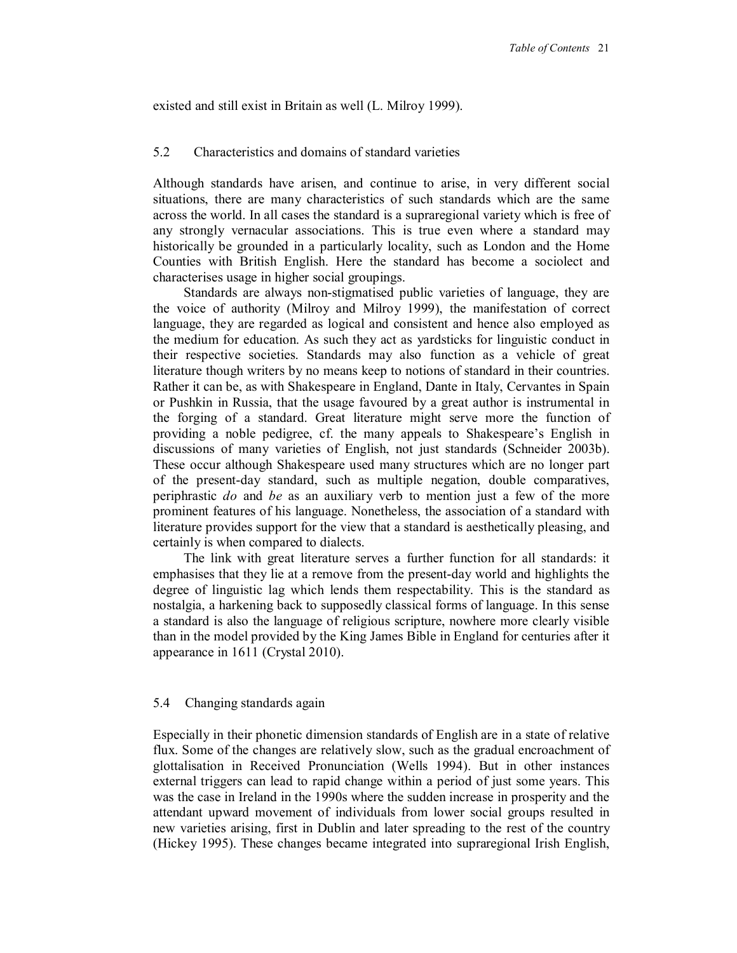existed and still exist in Britain as well (L. Milroy 1999).

### 5.2 Characteristics and domains of standard varieties

Although standards have arisen, and continue to arise, in very different social situations, there are many characteristics of such standards which are the same across the world. In all cases the standard is a supraregional variety which is free of any strongly vernacular associations. This is true even where a standard may historically be grounded in a particularly locality, such as London and the Home Counties with British English. Here the standard has become a sociolect and characterises usage in higher social groupings.

Standards are always non-stigmatised public varieties of language, they are the voice of authority (Milroy and Milroy 1999), the manifestation of correct language, they are regarded as logical and consistent and hence also employed as the medium for education. As such they act as yardsticks for linguistic conduct in their respective societies. Standards may also function as a vehicle of great literature though writers by no means keep to notions of standard in their countries. Rather it can be, as with Shakespeare in England, Dante in Italy, Cervantes in Spain or Pushkin in Russia, that the usage favoured by a great author is instrumental in the forging of a standard. Great literature might serve more the function of providing a noble pedigree, cf. the many appeals to Shakespeare's English in discussions of many varieties of English, not just standards (Schneider 2003b). These occur although Shakespeare used many structures which are no longer part of the present-day standard, such as multiple negation, double comparatives, periphrastic *do* and *be* as an auxiliary verb to mention just a few of the more prominent features of his language. Nonetheless, the association of a standard with literature provides support for the view that a standard is aesthetically pleasing, and certainly is when compared to dialects.

The link with great literature serves a further function for all standards: it emphasises that they lie at a remove from the present-day world and highlights the degree of linguistic lag which lends them respectability. This is the standard as nostalgia, a harkening back to supposedly classical forms of language. In this sense a standard is also the language of religious scripture, nowhere more clearly visible than in the model provided by the King James Bible in England for centuries after it appearance in 1611 (Crystal 2010).

#### 5.4 Changing standards again

Especially in their phonetic dimension standards of English are in a state of relative flux. Some of the changes are relatively slow, such as the gradual encroachment of glottalisation in Received Pronunciation (Wells 1994). But in other instances external triggers can lead to rapid change within a period of just some years. This was the case in Ireland in the 1990s where the sudden increase in prosperity and the attendant upward movement of individuals from lower social groups resulted in new varieties arising, first in Dublin and later spreading to the rest of the country (Hickey 1995). These changes became integrated into supraregional Irish English,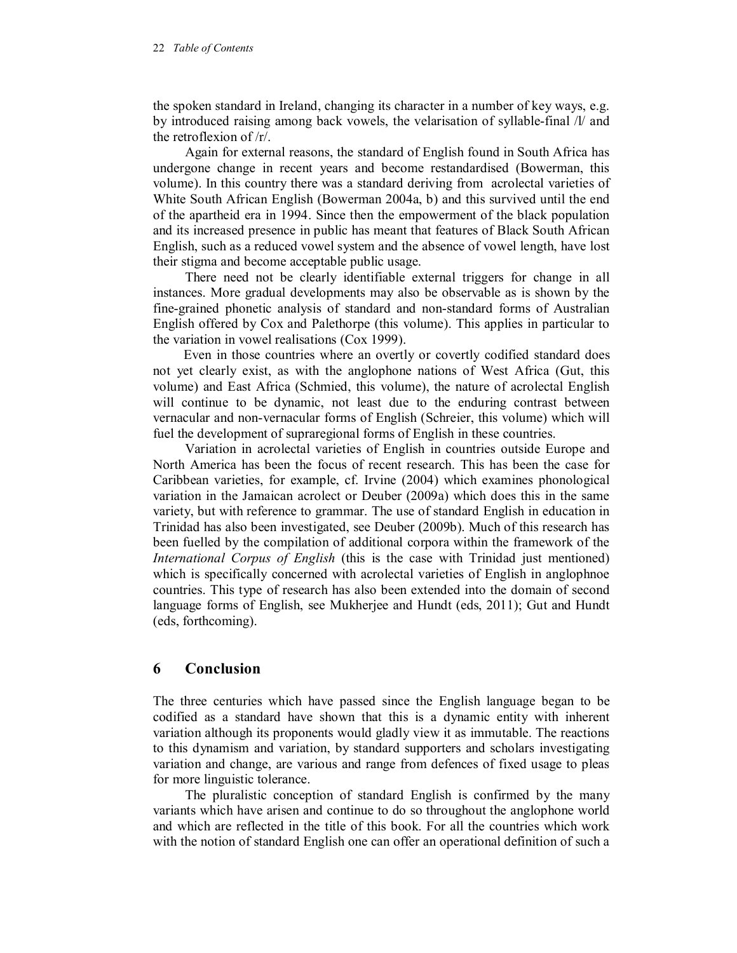the spoken standard in Ireland, changing its character in a number of key ways, e.g. by introduced raising among back vowels, the velarisation of syllable-final /l/ and the retroflexion of /r/.

Again for external reasons, the standard of English found in South Africa has undergone change in recent years and become restandardised (Bowerman, this volume). In this country there was a standard deriving from acrolectal varieties of White South African English (Bowerman 2004a, b) and this survived until the end of the apartheid era in 1994. Since then the empowerment of the black population and its increased presence in public has meant that features of Black South African English, such as a reduced vowel system and the absence of vowel length, have lost their stigma and become acceptable public usage.

There need not be clearly identifiable external triggers for change in all instances. More gradual developments may also be observable as is shown by the fine-grained phonetic analysis of standard and non-standard forms of Australian English offered by Cox and Palethorpe (this volume). This applies in particular to the variation in vowel realisations (Cox 1999).

Even in those countries where an overtly or covertly codified standard does not yet clearly exist, as with the anglophone nations of West Africa (Gut, this volume) and East Africa (Schmied, this volume), the nature of acrolectal English will continue to be dynamic, not least due to the enduring contrast between vernacular and non-vernacular forms of English (Schreier, this volume) which will fuel the development of supraregional forms of English in these countries.

Variation in acrolectal varieties of English in countries outside Europe and North America has been the focus of recent research. This has been the case for Caribbean varieties, for example, cf. Irvine (2004) which examines phonological variation in the Jamaican acrolect or Deuber (2009a) which does this in the same variety, but with reference to grammar. The use of standard English in education in Trinidad has also been investigated, see Deuber (2009b). Much of this research has been fuelled by the compilation of additional corpora within the framework of the *International Corpus of English* (this is the case with Trinidad just mentioned) which is specifically concerned with acrolectal varieties of English in anglophnoe countries. This type of research has also been extended into the domain of second language forms of English, see Mukherjee and Hundt (eds, 2011); Gut and Hundt (eds, forthcoming).

## **6 Conclusion**

The three centuries which have passed since the English language began to be codified as a standard have shown that this is a dynamic entity with inherent variation although its proponents would gladly view it as immutable. The reactions to this dynamism and variation, by standard supporters and scholars investigating variation and change, are various and range from defences of fixed usage to pleas for more linguistic tolerance.

The pluralistic conception of standard English is confirmed by the many variants which have arisen and continue to do so throughout the anglophone world and which are reflected in the title of this book. For all the countries which work with the notion of standard English one can offer an operational definition of such a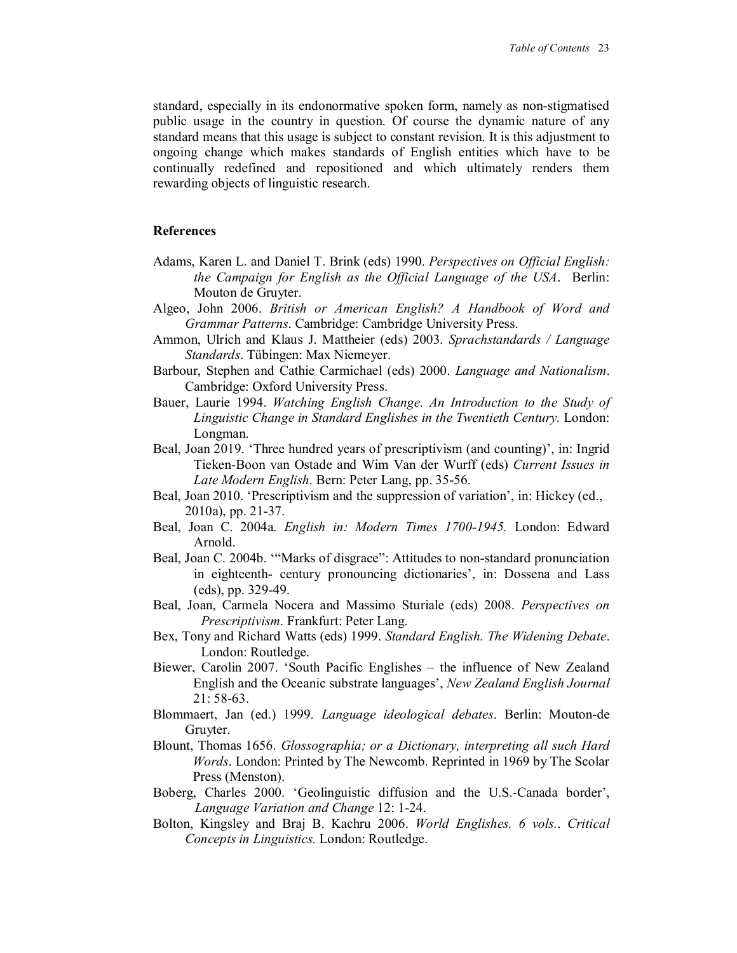standard, especially in its endonormative spoken form, namely as non-stigmatised public usage in the country in question. Of course the dynamic nature of any standard means that this usage is subject to constant revision. It is this adjustment to ongoing change which makes standards of English entities which have to be continually redefined and repositioned and which ultimately renders them rewarding objects of linguistic research.

### **References**

- Adams, Karen L. and Daniel T. Brink (eds) 1990. *Perspectives on Official English: the Campaign for English as the Official Language of the USA*. Berlin: Mouton de Gruyter.
- Algeo, John 2006. *British or American English? A Handbook of Word and Grammar Patterns*. Cambridge: Cambridge University Press.
- Ammon, Ulrich and Klaus J. Mattheier (eds) 2003. *Sprachstandards / Language Standards*. Tübingen: Max Niemeyer.
- Barbour, Stephen and Cathie Carmichael (eds) 2000. *Language and Nationalism*. Cambridge: Oxford University Press.
- Bauer, Laurie 1994. *Watching English Change. An Introduction to the Study of Linguistic Change in Standard Englishes in the Twentieth Century.* London: Longman.
- Beal, Joan 2019. 'Three hundred years of prescriptivism (and counting)', in: Ingrid Tieken-Boon van Ostade and Wim Van der Wurff (eds) *Current Issues in Late Modern English*. Bern: Peter Lang, pp. 35-56.
- Beal, Joan 2010. 'Prescriptivism and the suppression of variation', in: Hickey (ed., 2010a), pp. 21-37.
- Beal, Joan C. 2004a. *English in: Modern Times 1700-1945.* London: Edward Arnold.
- Beal, Joan C. 2004b. '"Marks of disgrace": Attitudes to non-standard pronunciation in eighteenth- century pronouncing dictionaries', in: Dossena and Lass (eds), pp. 329-49.
- Beal, Joan, Carmela Nocera and Massimo Sturiale (eds) 2008. *Perspectives on Prescriptivism*. Frankfurt: Peter Lang.
- Bex, Tony and Richard Watts (eds) 1999. *Standard English. The Widening Debate*. London: Routledge.
- Biewer, Carolin 2007. 'South Pacific Englishes the influence of New Zealand English and the Oceanic substrate languages', *New Zealand English Journal* 21: 58-63.
- Blommaert, Jan (ed.) 1999. *Language ideological debates*. Berlin: Mouton-de Gruyter.
- Blount, Thomas 1656. *Glossographia; or a Dictionary, interpreting all such Hard Words*. London: Printed by The Newcomb. Reprinted in 1969 by The Scolar Press (Menston).
- Boberg, Charles 2000. 'Geolinguistic diffusion and the U.S.-Canada border', *Language Variation and Change* 12: 1-24.
- Bolton, Kingsley and Braj B. Kachru 2006. *World Englishes. 6 vols.*. *Critical Concepts in Linguistics.* London: Routledge.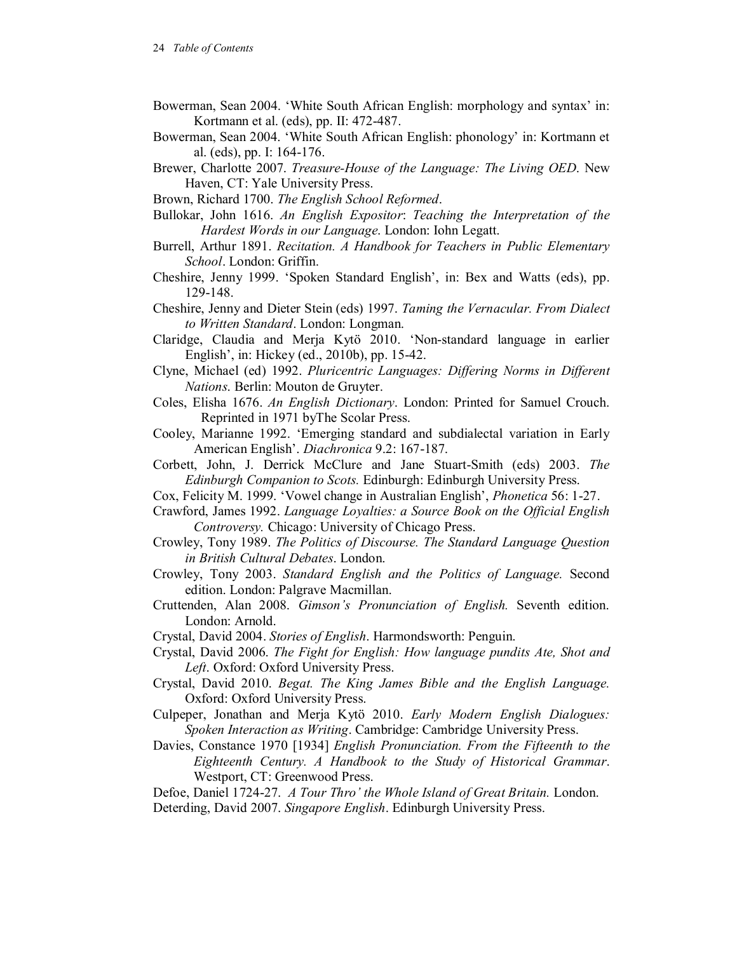- Bowerman, Sean 2004. 'White South African English: morphology and syntax' in: Kortmann et al. (eds), pp. II: 472-487.
- Bowerman, Sean 2004. 'White South African English: phonology' in: Kortmann et al. (eds), pp. I: 164-176.
- Brewer, Charlotte 2007. *Treasure-House of the Language: The Living OED*. New Haven, CT: Yale University Press.
- Brown, Richard 1700. *The English School Reformed*.
- Bullokar, John 1616. *An English Expositor*: *Teaching the Interpretation of the Hardest Words in our Language*. London: Iohn Legatt.
- Burrell, Arthur 1891. *Recitation. A Handbook for Teachers in Public Elementary School*. London: Griffin.
- Cheshire, Jenny 1999. 'Spoken Standard English', in: Bex and Watts (eds), pp. 129-148.
- Cheshire, Jenny and Dieter Stein (eds) 1997. *Taming the Vernacular. From Dialect to Written Standard*. London: Longman.
- Claridge, Claudia and Merja Kytö 2010. 'Non-standard language in earlier English', in: Hickey (ed., 2010b), pp. 15-42.
- Clyne, Michael (ed) 1992. *Pluricentric Languages: Differing Norms in Different Nations*. Berlin: Mouton de Gruyter.
- Coles, Elisha 1676. *An English Dictionary*. London: Printed for Samuel Crouch. Reprinted in 1971 byThe Scolar Press.
- Cooley, Marianne 1992. 'Emerging standard and subdialectal variation in Early American English'. *Diachronica* 9.2: 167-187.
- Corbett, John, J. Derrick McClure and Jane Stuart-Smith (eds) 2003. *The Edinburgh Companion to Scots.* Edinburgh: Edinburgh University Press.
- Cox, Felicity M. 1999. 'Vowel change in Australian English', *Phonetica* 56: 1-27.
- Crawford, James 1992. *Language Loyalties: a Source Book on the Official English Controversy.* Chicago: University of Chicago Press.
- Crowley, Tony 1989. *The Politics of Discourse. The Standard Language Question in British Cultural Debates*. London.
- Crowley, Tony 2003. *Standard English and the Politics of Language.* Second edition. London: Palgrave Macmillan.
- Cruttenden, Alan 2008. *Gimson's Pronunciation of English.* Seventh edition. London: Arnold.
- Crystal, David 2004. *Stories of English*. Harmondsworth: Penguin.
- Crystal, David 2006. *The Fight for English: How language pundits Ate, Shot and Left*. Oxford: Oxford University Press.
- Crystal, David 2010. *Begat. The King James Bible and the English Language.* Oxford: Oxford University Press.
- Culpeper, Jonathan and Merja Kytö 2010. *Early Modern English Dialogues: Spoken Interaction as Writing*. Cambridge: Cambridge University Press.
- Davies, Constance 1970 [1934] *English Pronunciation. From the Fifteenth to the Eighteenth Century. A Handbook to the Study of Historical Grammar*. Westport, CT: Greenwood Press.
- Defoe, Daniel 1724-27. *A Tour Thro' the Whole Island of Great Britain.* London. Deterding, David 2007. *Singapore English*. Edinburgh University Press.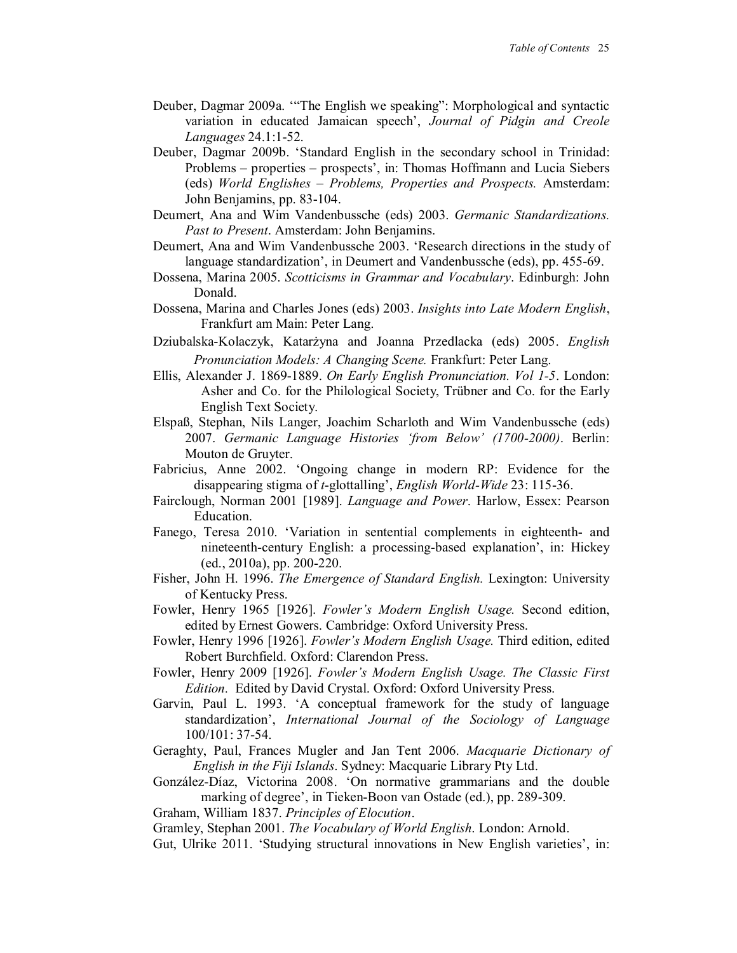- Deuber, Dagmar 2009a. '"The English we speaking": Morphological and syntactic variation in educated Jamaican speech', *Journal of Pidgin and Creole Languages* 24.1:1-52.
- Deuber, Dagmar 2009b. 'Standard English in the secondary school in Trinidad: Problems – properties – prospects', in: Thomas Hoffmann and Lucia Siebers (eds) *World Englishes – Problems, Properties and Prospects.* Amsterdam: John Benjamins, pp. 83-104.
- Deumert, Ana and Wim Vandenbussche (eds) 2003. *Germanic Standardizations. Past to Present*. Amsterdam: John Benjamins.
- Deumert, Ana and Wim Vandenbussche 2003. 'Research directions in the study of language standardization', in Deumert and Vandenbussche (eds), pp. 455-69.
- Dossena, Marina 2005. *Scotticisms in Grammar and Vocabulary*. Edinburgh: John Donald.
- Dossena, Marina and Charles Jones (eds) 2003. *Insights into Late Modern English*, Frankfurt am Main: Peter Lang.
- Dziubalska-Kolaczyk, Katarżyna and Joanna Przedlacka (eds) 2005. *English Pronunciation Models: A Changing Scene.* Frankfurt: Peter Lang.
- Ellis, Alexander J. 1869-1889. *On Early English Pronunciation. Vol 1-5*. London: Asher and Co. for the Philological Society, Trübner and Co. for the Early English Text Society.
- Elspaß, Stephan, Nils Langer, Joachim Scharloth and Wim Vandenbussche (eds) 2007. *Germanic Language Histories 'from Below' (1700-2000)*. Berlin: Mouton de Gruyter.
- Fabricius, Anne 2002. 'Ongoing change in modern RP: Evidence for the disappearing stigma of *t*-glottalling', *English World-Wide* 23: 115-36.
- Fairclough, Norman 2001 [1989]. *Language and Power*. Harlow, Essex: Pearson Education.
- Fanego, Teresa 2010. 'Variation in sentential complements in eighteenth- and nineteenth-century English: a processing-based explanation', in: Hickey (ed., 2010a), pp. 200-220.
- Fisher, John H. 1996. *The Emergence of Standard English.* Lexington: University of Kentucky Press.
- Fowler, Henry 1965 [1926]. *Fowler's Modern English Usage.* Second edition, edited by Ernest Gowers. Cambridge: Oxford University Press.
- Fowler, Henry 1996 [1926]. *Fowler's Modern English Usage.* Third edition, edited Robert Burchfield. Oxford: Clarendon Press.
- Fowler, Henry 2009 [1926]. *Fowler's Modern English Usage. The Classic First Edition.* Edited by David Crystal. Oxford: Oxford University Press.
- Garvin, Paul L. 1993. 'A conceptual framework for the study of language standardization', *International Journal of the Sociology of Language* 100/101: 37-54.
- Geraghty, Paul, Frances Mugler and Jan Tent 2006. *Macquarie Dictionary of English in the Fiji Islands*. Sydney: Macquarie Library Pty Ltd.
- González-Díaz, Victorina 2008. 'On normative grammarians and the double marking of degree', in Tieken-Boon van Ostade (ed.), pp. 289-309.
- Graham, William 1837. *Principles of Elocution*.
- Gramley, Stephan 2001. *The Vocabulary of World English*. London: Arnold.
- Gut, Ulrike 2011. 'Studying structural innovations in New English varieties', in: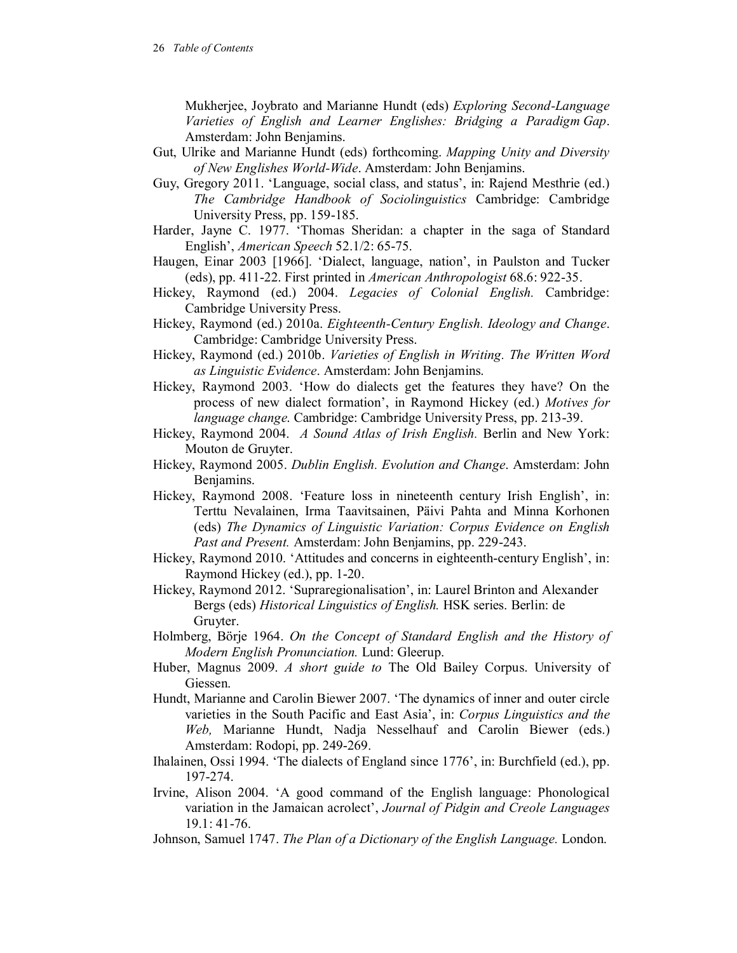Mukherjee, Joybrato and Marianne Hundt (eds) *Exploring Second-Language Varieties of English and Learner Englishes: Bridging a Paradigm Gap*. Amsterdam: John Benjamins.

- Gut, Ulrike and Marianne Hundt (eds) forthcoming. *Mapping Unity and Diversity of New Englishes World-Wide*. Amsterdam: John Benjamins.
- Guy, Gregory 2011. 'Language, social class, and status', in: Rajend Mesthrie (ed.) *The Cambridge Handbook of Sociolinguistics* Cambridge: Cambridge University Press, pp. 159-185.
- Harder, Jayne C. 1977. 'Thomas Sheridan: a chapter in the saga of Standard English', *American Speech* 52.1/2: 65-75.
- Haugen, Einar 2003 [1966]. 'Dialect, language, nation', in Paulston and Tucker (eds), pp. 411-22. First printed in *American Anthropologist* 68.6: 922-35.
- Hickey, Raymond (ed.) 2004. *Legacies of Colonial English.* Cambridge: Cambridge University Press.
- Hickey, Raymond (ed.) 2010a. *Eighteenth-Century English. Ideology and Change*. Cambridge: Cambridge University Press.
- Hickey, Raymond (ed.) 2010b. *Varieties of English in Writing. The Written Word as Linguistic Evidence*. Amsterdam: John Benjamins.
- Hickey, Raymond 2003. 'How do dialects get the features they have? On the process of new dialect formation', in Raymond Hickey (ed.) *Motives for language change*. Cambridge: Cambridge University Press, pp. 213-39.
- Hickey, Raymond 2004. *A Sound Atlas of Irish English.* Berlin and New York: Mouton de Gruyter.
- Hickey, Raymond 2005. *Dublin English. Evolution and Change*. Amsterdam: John Benjamins.
- Hickey, Raymond 2008. 'Feature loss in nineteenth century Irish English', in: Terttu Nevalainen, Irma Taavitsainen, Päivi Pahta and Minna Korhonen (eds) *The Dynamics of Linguistic Variation: Corpus Evidence on English Past and Present.* Amsterdam: John Benjamins, pp. 229-243.
- Hickey, Raymond 2010. 'Attitudes and concerns in eighteenth-century English', in: Raymond Hickey (ed.), pp. 1-20.
- Hickey, Raymond 2012. 'Supraregionalisation', in: Laurel Brinton and Alexander Bergs (eds) *Historical Linguistics of English.* HSK series. Berlin: de Gruyter.
- Holmberg, Börje 1964. *On the Concept of Standard English and the History of Modern English Pronunciation.* Lund: Gleerup.
- Huber, Magnus 2009. *A short guide to* The Old Bailey Corpus. University of Giessen.
- Hundt, Marianne and Carolin Biewer 2007. 'The dynamics of inner and outer circle varieties in the South Pacific and East Asia', in: *Corpus Linguistics and the Web,* Marianne Hundt, Nadja Nesselhauf and Carolin Biewer (eds.) Amsterdam: Rodopi, pp. 249-269.
- Ihalainen, Ossi 1994. 'The dialects of England since 1776', in: Burchfield (ed.), pp. 197-274.
- Irvine, Alison 2004. 'A good command of the English language: Phonological variation in the Jamaican acrolect', *Journal of Pidgin and Creole Languages* 19.1: 41-76.
- Johnson, Samuel 1747. *The Plan of a Dictionary of the English Language.* London.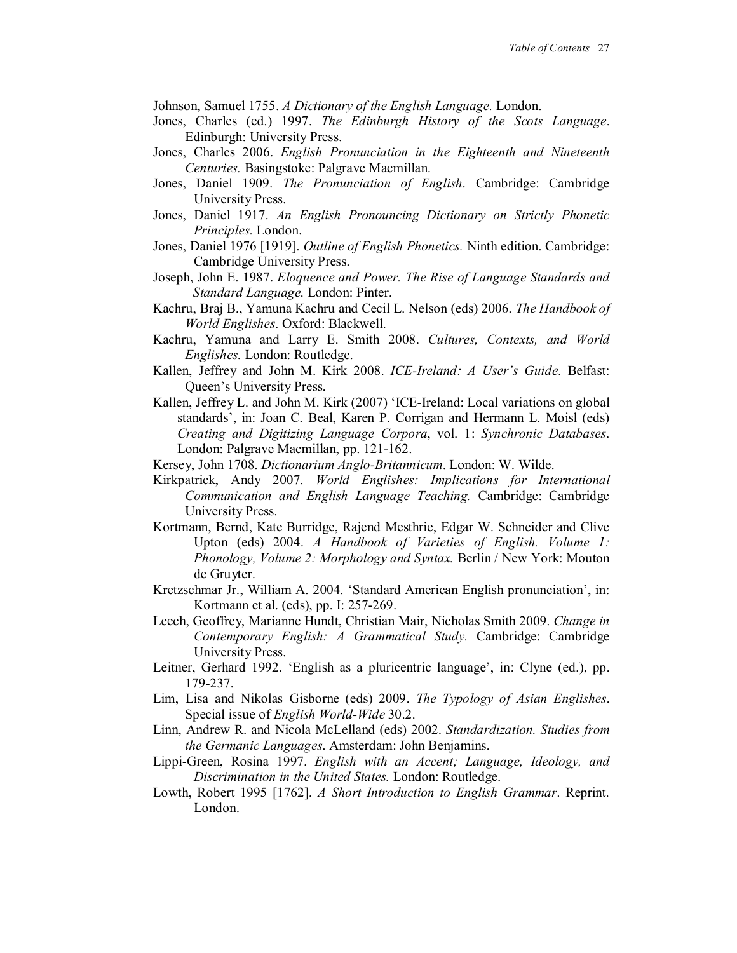Johnson, Samuel 1755. *A Dictionary of the English Language.* London.

- Jones, Charles (ed.) 1997. *The Edinburgh History of the Scots Language*. Edinburgh: University Press.
- Jones, Charles 2006. *English Pronunciation in the Eighteenth and Nineteenth Centuries.* Basingstoke: Palgrave Macmillan.
- Jones, Daniel 1909. *The Pronunciation of English*. Cambridge: Cambridge University Press.
- Jones, Daniel 1917. *An English Pronouncing Dictionary on Strictly Phonetic Principles.* London.
- Jones, Daniel 1976 [1919]. *Outline of English Phonetics.* Ninth edition. Cambridge: Cambridge University Press.
- Joseph, John E. 1987. *Eloquence and Power. The Rise of Language Standards and Standard Language*. London: Pinter.
- Kachru, Braj B., Yamuna Kachru and Cecil L. Nelson (eds) 2006. *The Handbook of World Englishes*. Oxford: Blackwell.
- Kachru, Yamuna and Larry E. Smith 2008. *Cultures, Contexts, and World Englishes.* London: Routledge.
- Kallen, Jeffrey and John M. Kirk 2008. *ICE-Ireland: A User's Guide*. Belfast: Queen's University Press.
- Kallen, Jeffrey L. and John M. Kirk (2007) 'ICE-Ireland: Local variations on global standards', in: Joan C. Beal, Karen P. Corrigan and Hermann L. Moisl (eds) *Creating and Digitizing Language Corpora*, vol. 1: *Synchronic Databases*. London: Palgrave Macmillan, pp. 121-162.
- Kersey, John 1708. *Dictionarium Anglo-Britannicum*. London: W. Wilde.
- Kirkpatrick, Andy 2007. *World Englishes: Implications for International Communication and English Language Teaching.* Cambridge: Cambridge University Press.
- Kortmann, Bernd, Kate Burridge, Rajend Mesthrie, Edgar W. Schneider and Clive Upton (eds) 2004. *A Handbook of Varieties of English. Volume 1: Phonology, Volume 2: Morphology and Syntax.* Berlin / New York: Mouton de Gruyter.
- Kretzschmar Jr., William A. 2004. 'Standard American English pronunciation', in: Kortmann et al. (eds), pp. I: 257-269.
- Leech, Geoffrey, Marianne Hundt, Christian Mair, Nicholas Smith 2009. *Change in Contemporary English: A Grammatical Study.* Cambridge: Cambridge University Press.
- Leitner, Gerhard 1992. 'English as a pluricentric language', in: Clyne (ed.), pp. 179-237.
- Lim, Lisa and Nikolas Gisborne (eds) 2009. *The Typology of Asian Englishes*. Special issue of *English World-Wide* 30.2.
- Linn, Andrew R. and Nicola McLelland (eds) 2002. *Standardization. Studies from the Germanic Languages*. Amsterdam: John Benjamins.
- Lippi-Green, Rosina 1997. *English with an Accent; Language, Ideology, and Discrimination in the United States.* London: Routledge.
- Lowth, Robert 1995 [1762]. *A Short Introduction to English Grammar*. Reprint. London.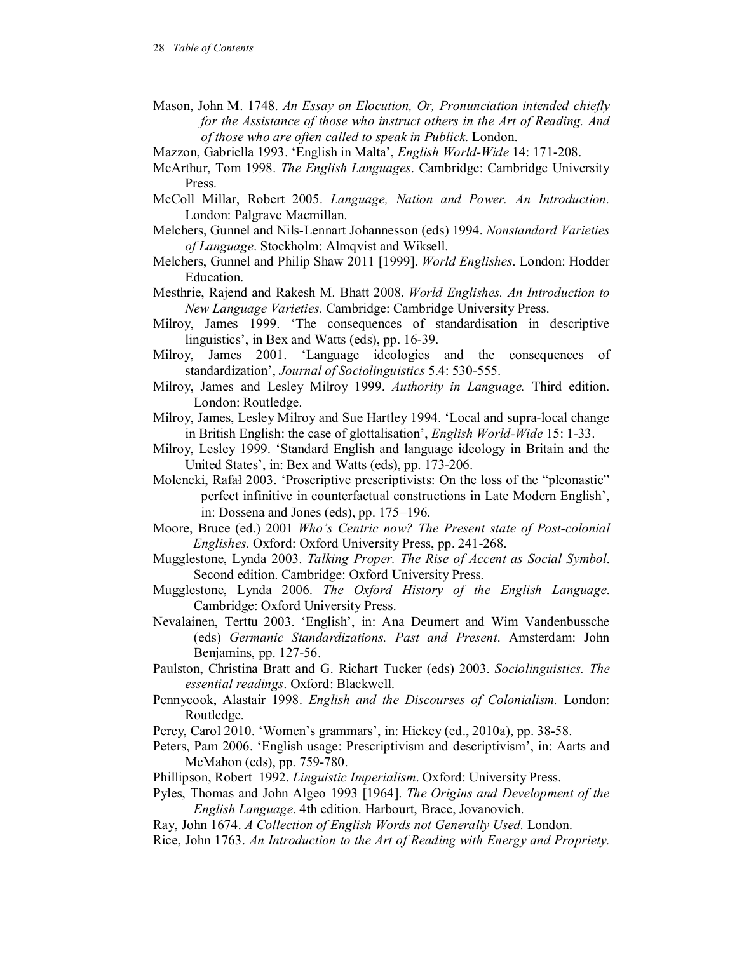- Mason, John M. 1748. *An Essay on Elocution, Or, Pronunciation intended chiefly for the Assistance of those who instruct others in the Art of Reading. And of those who are often called to speak in Publick.* London.
- Mazzon, Gabriella 1993. 'English in Malta', *English World-Wide* 14: 171-208.
- McArthur, Tom 1998. *The English Languages*. Cambridge: Cambridge University Press.
- McColl Millar, Robert 2005. *Language, Nation and Power. An Introduction.*  London: Palgrave Macmillan.
- Melchers, Gunnel and Nils-Lennart Johannesson (eds) 1994. *Nonstandard Varieties of Language*. Stockholm: Almqvist and Wiksell.
- Melchers, Gunnel and Philip Shaw 2011 [1999]. *World Englishes*. London: Hodder Education.
- Mesthrie, Rajend and Rakesh M. Bhatt 2008. *World Englishes. An Introduction to New Language Varieties.* Cambridge: Cambridge University Press.
- Milroy, James 1999. 'The consequences of standardisation in descriptive linguistics', in Bex and Watts (eds), pp. 16-39.
- Milroy, James 2001. 'Language ideologies and the consequences of standardization', *Journal of Sociolinguistics* 5.4: 530-555.
- Milroy, James and Lesley Milroy 1999. *Authority in Language.* Third edition. London: Routledge.
- Milroy, James, Lesley Milroy and Sue Hartley 1994. 'Local and supra-local change in British English: the case of glottalisation', *English World-Wide* 15: 1-33.
- Milroy, Lesley 1999. 'Standard English and language ideology in Britain and the United States', in: Bex and Watts (eds), pp. 173-206.
- Molencki, Rafał 2003. 'Proscriptive prescriptivists: On the loss of the "pleonastic" perfect infinitive in counterfactual constructions in Late Modern English', in: Dossena and Jones (eds), pp. 175-196.
- Moore, Bruce (ed.) 2001 *Who's Centric now? The Present state of Post-colonial Englishes.* Oxford: Oxford University Press, pp. 241-268.
- Mugglestone, Lynda 2003. *Talking Proper. The Rise of Accent as Social Symbol*. Second edition. Cambridge: Oxford University Press.
- Mugglestone, Lynda 2006. *The Oxford History of the English Language*. Cambridge: Oxford University Press.
- Nevalainen, Terttu 2003. 'English', in: Ana Deumert and Wim Vandenbussche (eds) *Germanic Standardizations. Past and Present*. Amsterdam: John Benjamins, pp. 127-56.
- Paulston, Christina Bratt and G. Richart Tucker (eds) 2003. *Sociolinguistics. The essential readings*. Oxford: Blackwell.
- Pennycook, Alastair 1998. *English and the Discourses of Colonialism.* London: Routledge.
- Percy, Carol 2010. 'Women's grammars', in: Hickey (ed., 2010a), pp. 38-58.
- Peters, Pam 2006. 'English usage: Prescriptivism and descriptivism', in: Aarts and McMahon (eds), pp. 759-780.

Phillipson, Robert 1992. *Linguistic Imperialism*. Oxford: University Press.

Pyles, Thomas and John Algeo 1993 [1964]. *The Origins and Development of the English Language*. 4th edition. Harbourt, Brace, Jovanovich.

Ray, John 1674. *A Collection of English Words not Generally Used.* London. Rice, John 1763. *An Introduction to the Art of Reading with Energy and Propriety.*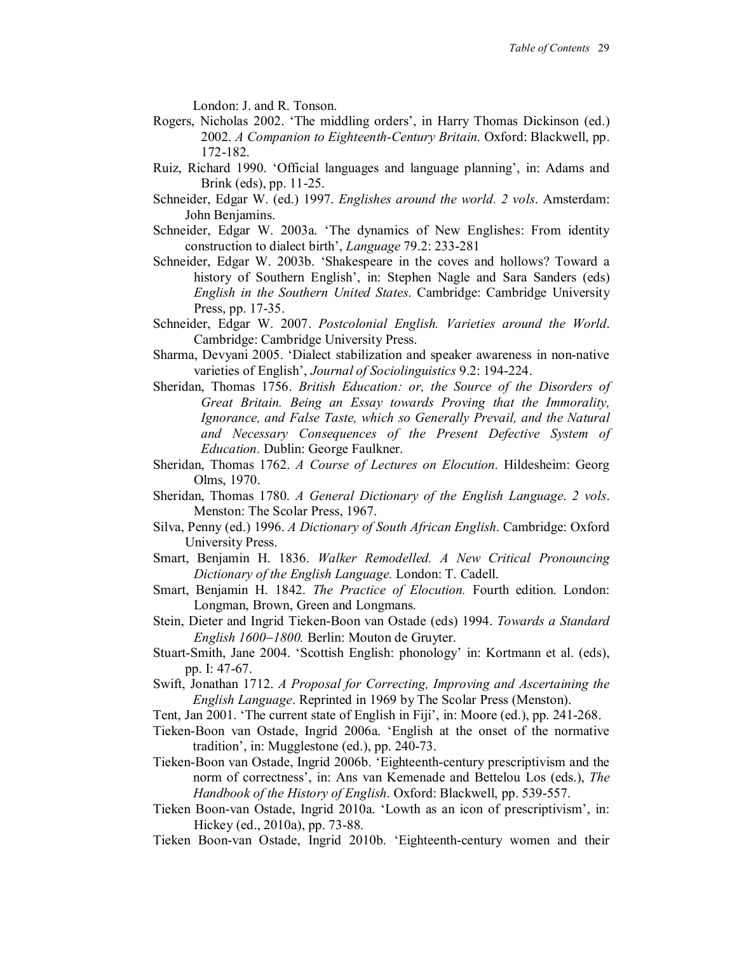London: J. and R. Tonson.

- Rogers, Nicholas 2002. 'The middling orders', in Harry Thomas Dickinson (ed.) 2002. *A Companion to Eighteenth-Century Britain*. Oxford: Blackwell, pp. 172-182.
- Ruiz, Richard 1990. 'Official languages and language planning', in: Adams and Brink (eds), pp. 11-25.
- Schneider, Edgar W. (ed.) 1997. *Englishes around the world. 2 vols*. Amsterdam: John Benjamins.
- Schneider, Edgar W. 2003a. 'The dynamics of New Englishes: From identity construction to dialect birth', *Language* 79.2: 233-281
- Schneider, Edgar W. 2003b. 'Shakespeare in the coves and hollows? Toward a history of Southern English', in: Stephen Nagle and Sara Sanders (eds) *English in the Southern United States*. Cambridge: Cambridge University Press, pp. 17-35.
- Schneider, Edgar W. 2007. *Postcolonial English. Varieties around the World*. Cambridge: Cambridge University Press.
- Sharma, Devyani 2005. 'Dialect stabilization and speaker awareness in non-native varieties of English', *Journal of Sociolinguistics* 9.2: 194-224.
- Sheridan, Thomas 1756. *British Education: or, the Source of the Disorders of Great Britain. Being an Essay towards Proving that the Immorality, Ignorance, and False Taste, which so Generally Prevail, and the Natural and Necessary Consequences of the Present Defective System of Education.* Dublin: George Faulkner.
- Sheridan, Thomas 1762. *A Course of Lectures on Elocution*. Hildesheim: Georg Olms, 1970.
- Sheridan, Thomas 1780. *A General Dictionary of the English Language*. *2 vols*. Menston: The Scolar Press, 1967.
- Silva, Penny (ed.) 1996. *A Dictionary of South African English*. Cambridge: Oxford University Press.
- Smart, Benjamin H. 1836. *Walker Remodelled. A New Critical Pronouncing Dictionary of the English Language.* London: T. Cadell.
- Smart, Benjamin H. 1842. *The Practice of Elocution.* Fourth edition. London: Longman, Brown, Green and Longmans.
- Stein, Dieter and Ingrid Tieken-Boon van Ostade (eds) 1994. *Towards a Standard English 1600*-*1800.* Berlin: Mouton de Gruyter.
- Stuart-Smith, Jane 2004. 'Scottish English: phonology' in: Kortmann et al. (eds), pp. I: 47-67.
- Swift, Jonathan 1712. *A Proposal for Correcting, Improving and Ascertaining the English Language*. Reprinted in 1969 by The Scolar Press (Menston).
- Tent, Jan 2001. 'The current state of English in Fiji', in: Moore (ed.), pp. 241-268.
- Tieken-Boon van Ostade, Ingrid 2006a. 'English at the onset of the normative tradition', in: Mugglestone (ed.), pp. 240-73.
- Tieken-Boon van Ostade, Ingrid 2006b. 'Eighteenth-century prescriptivism and the norm of correctness', in: Ans van Kemenade and Bettelou Los (eds.), *The Handbook of the History of English*. Oxford: Blackwell, pp. 539-557.
- Tieken Boon-van Ostade, Ingrid 2010a. 'Lowth as an icon of prescriptivism', in: Hickey (ed., 2010a), pp. 73-88.
- Tieken Boon-van Ostade, Ingrid 2010b. 'Eighteenth-century women and their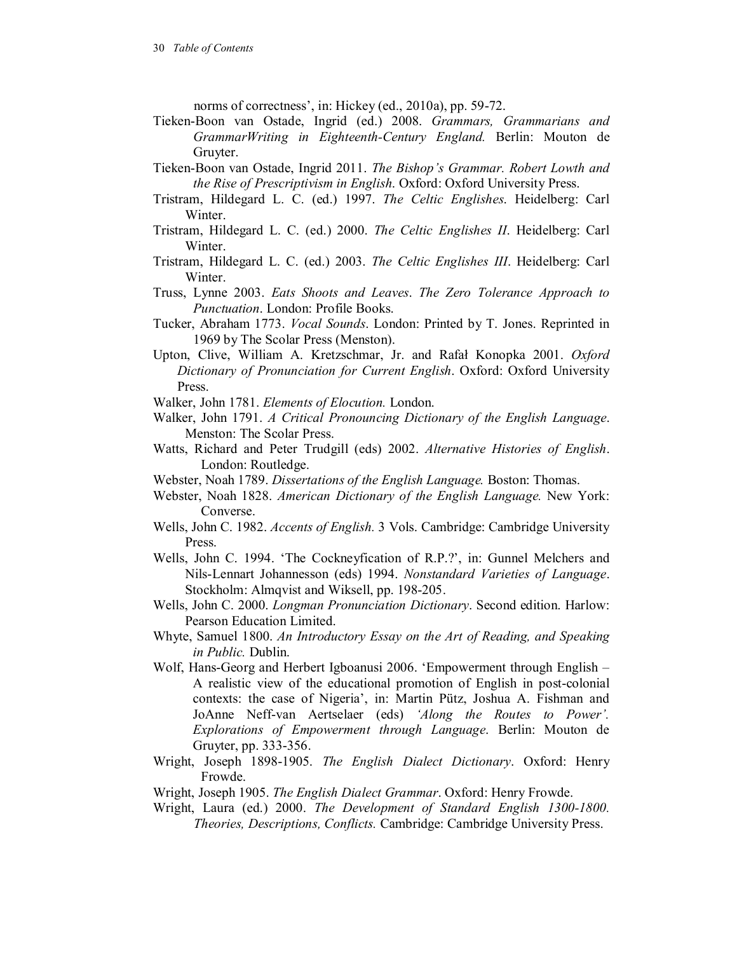norms of correctness', in: Hickey (ed., 2010a), pp. 59-72.

- Tieken-Boon van Ostade, Ingrid (ed.) 2008. *Grammars, Grammarians and GrammarWriting in Eighteenth-Century England.* Berlin: Mouton de Gruyter.
- Tieken-Boon van Ostade, Ingrid 2011. *The Bishop's Grammar. Robert Lowth and the Rise of Prescriptivism in English*. Oxford: Oxford University Press.
- Tristram, Hildegard L. C. (ed.) 1997. *The Celtic Englishes*. Heidelberg: Carl Winter.
- Tristram, Hildegard L. C. (ed.) 2000. *The Celtic Englishes II*. Heidelberg: Carl Winter.
- Tristram, Hildegard L. C. (ed.) 2003. *The Celtic Englishes III*. Heidelberg: Carl Winter.
- Truss, Lynne 2003. *Eats Shoots and Leaves*. *The Zero Tolerance Approach to Punctuation*. London: Profile Books.
- Tucker, Abraham 1773. *Vocal Sounds*. London: Printed by T. Jones. Reprinted in 1969 by The Scolar Press (Menston).
- Upton, Clive, William A. Kretzschmar, Jr. and Rafał Konopka 2001. *Oxford Dictionary of Pronunciation for Current English*. Oxford: Oxford University Press.
- Walker, John 1781. *Elements of Elocution.* London.
- Walker, John 1791. *A Critical Pronouncing Dictionary of the English Language*. Menston: The Scolar Press.
- Watts, Richard and Peter Trudgill (eds) 2002. *Alternative Histories of English*. London: Routledge.
- Webster, Noah 1789. *Dissertations of the English Language.* Boston: Thomas.
- Webster, Noah 1828. *American Dictionary of the English Language.* New York: Converse.
- Wells, John C. 1982. *Accents of English.* 3 Vols. Cambridge: Cambridge University Press.
- Wells, John C. 1994. 'The Cockneyfication of R.P.?', in: Gunnel Melchers and Nils-Lennart Johannesson (eds) 1994. *Nonstandard Varieties of Language*. Stockholm: Almqvist and Wiksell, pp. 198-205.
- Wells, John C. 2000. *Longman Pronunciation Dictionary*. Second edition. Harlow: Pearson Education Limited.
- Whyte, Samuel 1800. *An Introductory Essay on the Art of Reading, and Speaking in Public.* Dublin.
- Wolf, Hans-Georg and Herbert Igboanusi 2006. 'Empowerment through English A realistic view of the educational promotion of English in post-colonial contexts: the case of Nigeria', in: Martin Pütz, Joshua A. Fishman and JoAnne Neff-van Aertselaer (eds) *'Along the Routes to Power'. Explorations of Empowerment through Language*. Berlin: Mouton de Gruyter, pp. 333-356.
- Wright, Joseph 1898-1905. *The English Dialect Dictionary*. Oxford: Henry Frowde.
- Wright, Joseph 1905. *The English Dialect Grammar*. Oxford: Henry Frowde.
- Wright, Laura (ed.) 2000. *The Development of Standard English 1300-1800. Theories, Descriptions, Conflicts.* Cambridge: Cambridge University Press.